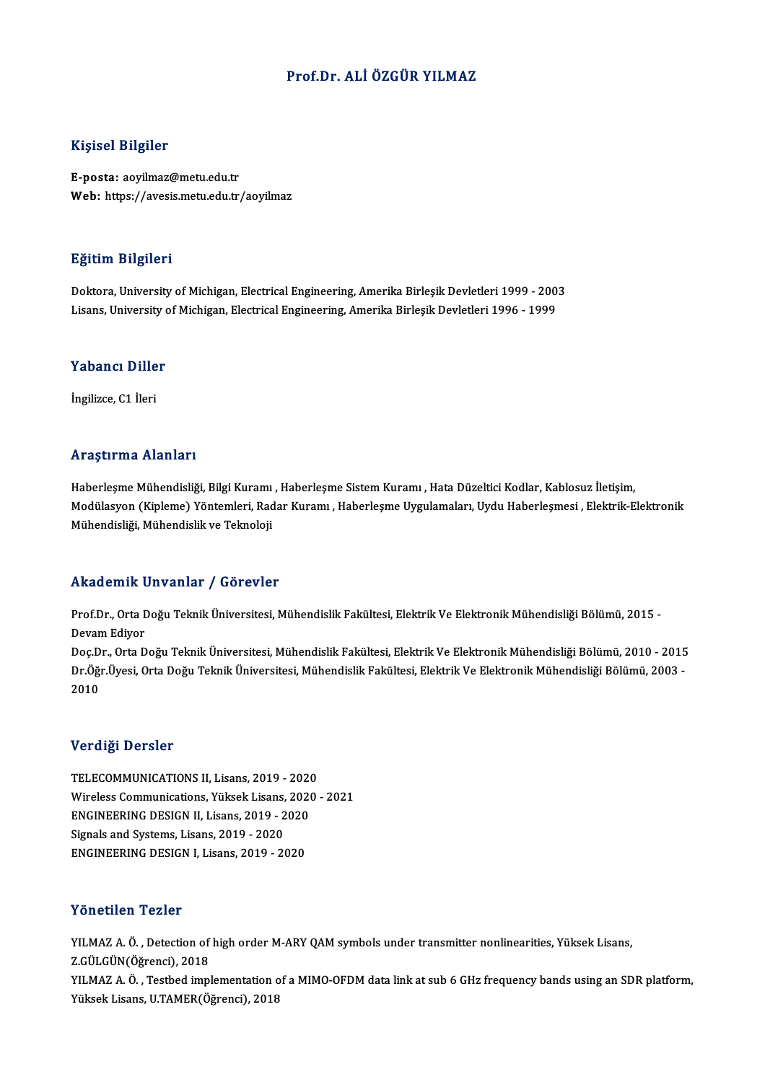#### Prof.Dr. ALİÖZGÜR YILMAZ

#### Kişisel Bilgiler

E-posta: aoyilmaz@metu.edu.tr Web: https://avesis.metu.edu.tr/aoyilmaz

#### Eğitim Bilgileri

Eğitim Bilgileri<br>Doktora, University of Michigan, Electrical Engineering, Amerika Birleşik Devletleri 1999 - 2003<br>Lisans University of Michigan, Electrical Engineering, Amerika Birleşik Devletleri 1996 - 1999 Lyrenn, Dreynor<br>Doktora, University of Michigan, Electrical Engineering, Amerika Birleşik Devletleri 1999 - 200<br>Lisans, University of Michigan, Electrical Engineering, Amerika Birleşik Devletleri 1996 - 1999

# Lisans, oniversity d<br>Yabancı Diller Y<mark>abancı Dille</mark><br>İngilizce, C1 İleri

# İngilizce, C1 İleri<br>Araştırma Alanları

Haberleşme Mühendisliği, Bilgi Kuramı , Haberleşme Sistem Kuramı , Hata Düzeltici Kodlar, Kablosuz İletişim, Modülasyon (Kipleme) Yöntemleri, Radar Kuramı , Haberleşme Uygulamaları, Uydu Haberleşmesi , Elektrik-Elektronik Mühendisliği, Mühendislik ve Teknoloji

#### Akademik Unvanlar / Görevler

**Akademik Unvanlar / Görevler**<br>Prof.Dr., Orta Doğu Teknik Üniversitesi, Mühendislik Fakültesi, Elektrik Ve Elektronik Mühendisliği Bölümü, 2015 -<br>Davam Ediyer rmaacmm<br>Prof.Dr., Orta I<br>Devam Ediyor<br>Dec.Dr., Orta D Prof.Dr., Orta Doğu Teknik Üniversitesi, Mühendislik Fakültesi, Elektrik Ve Elektronik Mühendisliği Bölümü, 2015<br>Devam Ediyor<br>Doç.Dr., Orta Doğu Teknik Üniversitesi, Mühendislik Fakültesi, Elektrik Ve Elektronik Mühendisli

Devam Ediyor<br>Doç.Dr., Orta Doğu Teknik Üniversitesi, Mühendislik Fakültesi, Elektrik Ve Elektronik Mühendisliği Bölümü, 2010 - 2015<br>Dr.Öğr.Üyesi, Orta Doğu Teknik Üniversitesi, Mühendislik Fakültesi, Elektrik Ve Elektronik Doç.D<br>Dr.Öğı<br>2010 2010<br>Verdiği Dersler

Verdiği Dersler<br>TELECOMMUNICATIONS II, Lisans, 2019 - 2020<br>Wiroloss Communisations, Vülsek Lisans, 2020 Wireless Communications, Yüksek Lisans, 2020 - 2021<br>ENGINEERING DESIGN II, Lisans, 2019 - 2020 TELECOMMUNICATIONS II, Lisans, 2019 - 2020<br>Wireless Communications, Yüksek Lisans, 2020<br>ENGINEERING DESIGN II, Lisans, 2019 - 2020<br>Signals and Systems, Lisans, 2019, 2020 Signals and Systems, Lisans, 2019 - 2020 ENGINEERING DESIGN I, Lisans, 2019 - 2020

#### Yönetilen Tezler

Yönetilen Tezler<br>YILMAZ A. Ö. , Detection of high order M-ARY QAM symbols under transmitter nonlinearities, Yüksek Lisans,<br>Z.CÜLGÜN(Öğrensi), 2018 YILMAZ A. Ö. , Detection of<br>Z.GÜLGÜN(Öğrenci), 2018<br>VILMAZ A. Ö. , Testhod impl Z.GÜLGÜN(Öğrenci), 2018<br>YILMAZ A. Ö. , Testbed implementation of a MIMO-OFDM data link at sub 6 GHz frequency bands using an SDR platform, YüksekLisans,U.TAMER(Öğrenci),2018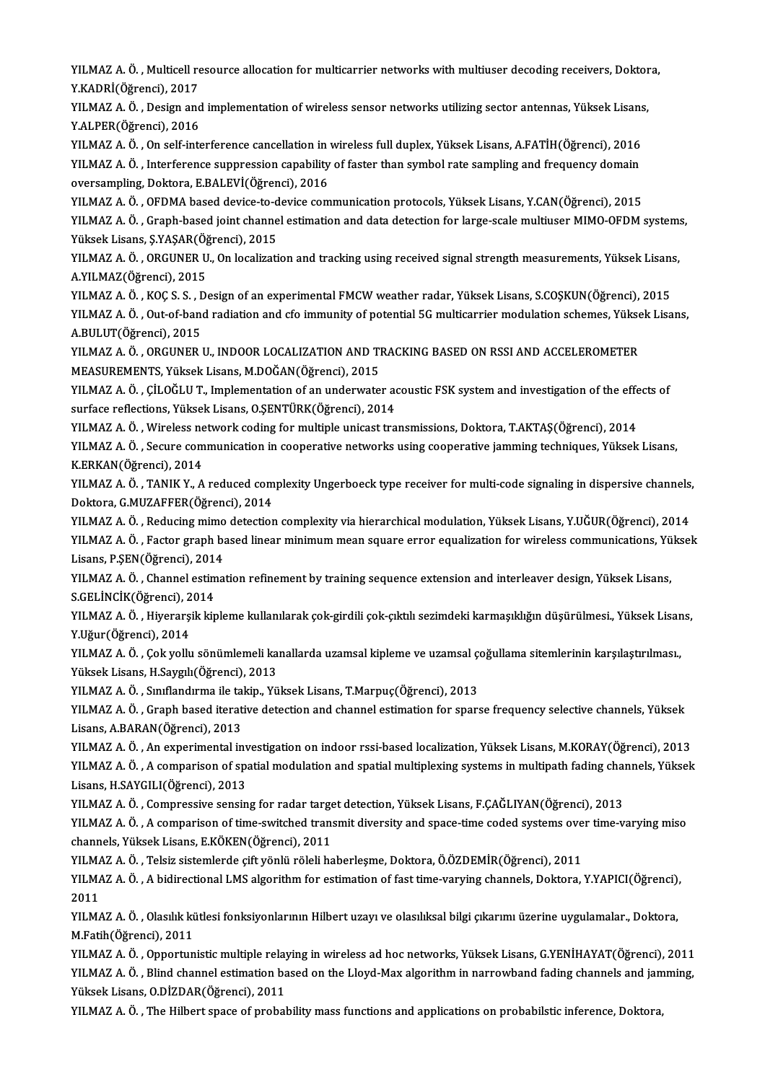YILMAZ A. Ö. , Multicell resource allocation for multicarrier networks with multiuser decoding receivers, Doktora,<br>V.KADRİ(Öğmengi), 2017 YILMAZ A. Ö. , Multicell re<br>Y.KADRİ(Öğrenci), 2017<br>YU MAZ A. Ö. , Desirn and YILMAZ A. Ö. , Multicell resource allocation for multicarrier networks with multiuser decoding receivers, Doktor<br>Y.KADRİ(Öğrenci), 2017<br>YILMAZ A. Ö. , Design and implementation of wireless sensor networks utilizing sector

Y.KADRİ(Öğrenci), 2017<br>YILMAZ A. Ö. , Design and<br>Y.ALPER(Öğrenci), 2016<br>YU MAZ A. Ö. On sel<sup>e</sup> inte YILMAZ A. Ö. , Design and implementation of wireless sensor networks utilizing sector antennas, Yüksek Lisans<br>Y.ALPER(Öğrenci), 2016<br>YILMAZ A. Ö. , On self-interference cancellation in wireless full duplex, Yüksek Lisans,

Y.ALPER(Öğrenci), 2016<br>YILMAZ A. Ö. , On self-interference cancellation in wireless full duplex, Yüksek Lisans, A.FATİH(Öğrenci), 2016<br>YILMAZ A. Ö. , Interference suppression capability of faster than symbol rate sampling YILMAZ A. Ö. , On self-interference cancellation in<br>YILMAZ A. Ö. , Interference suppression capability<br>oversampling, Doktora, E.BALEVİ(Öğrenci), 2016<br>YILMAZ A. Ö. OEDMA based devise to devise som YILMAZ A. Ö. , Interference suppression capability of faster than symbol rate sampling and frequency domain<br>oversampling, Doktora, E.BALEVİ(Öğrenci), 2016<br>YILMAZ A. Ö. , OFDMA based device-to-device communication protocols

YILMAZ A, Ö, , Graph-based joint channel estimation and data detection for large-scale multiuser MIMO-OFDM systems, YILMAZ A. Ö. , OFDMA based device-to-d<br>YILMAZ A. Ö. , Graph-based joint channe<br>Yüksek Lisans, Ş.YAŞAR(Öğrenci), 2015<br>YU MAZ A. Ö. , OBCUNER U. On localizati YILMAZ A. Ö. , Graph-based joint channel estimation and data detection for large-scale multiuser MIMO-OFDM system:<br>Yüksek Lisans, Ş.YAŞAR(Öğrenci), 2015<br>YILMAZ A. Ö. , ORGUNER U., On localization and tracking using receive

Yüksek Lisans, Ş.YAŞAR(Öğ<br>YILMAZ A. Ö. , ORGUNER U<br>A.YILMAZ (Öğrenci), 2015<br>YILMAZ A. Ö. KOC S. S. D. YILMAZ A. Ö. , ORGUNER U., On localization and tracking using received signal strength measurements, Yüksek Lisans<br>A.YILMAZ (Öğrenci), 2015<br>YILMAZ A. Ö. , KOÇ S. S. , Design of an experimental FMCW weather radar, Yüksek Li

A.YILMAZ(Öğrenci), 2015<br>YILMAZ A. Ö. , KOÇ S. S. , Design of an experimental FMCW weather radar, Yüksek Lisans, S.COŞKUN(Öğrenci), 2015<br>YILMAZ A. Ö. , Out-of-band radiation and cfo immunity of potential 5G multicarrier mod YILMAZ A. Ö. , KOÇ S. S. , I<br>YILMAZ A. Ö. , Out-of-ban<br>A.BULUT(Öğrenci), 2015<br>YU MAZ A. Ö. , OPCINER I YILMAZ A. Ö. , Out-of-band radiation and cfo immunity of potential 5G multicarrier modulation schemes, Yükse<br>A.BULUT(Öğrenci), 2015<br>YILMAZ A. Ö. , ORGUNER U., INDOOR LOCALIZATION AND TRACKING BASED ON RSSI AND ACCELEROMETE

A.BULUT(Öğrenci), 2015<br>YILMAZ A. Ö. , ORGUNER U., INDOOR LOCALIZATION AND TRACKING BASED ON RSSI AND ACCELEROMETER<br>MEASUREMENTS, Yüksek Lisans, M.DOĞAN(Öğrenci), 2015 YILMAZ A. Ö. , ORGUNER U., INDOOR LOCALIZATION AND TRACKING BASED ON RSSI AND ACCELEROMETER<br>MEASUREMENTS, Yüksek Lisans, M.DOĞAN(Öğrenci), 2015<br>YILMAZ A. Ö. , ÇİLOĞLU T., Implementation of an underwater acoustic FSK system

MEASUREMENTS, Yüksek Lisans, M.DOĞAN(Öğrenci), 2015<br>YILMAZ A. Ö. , ÇİLOĞLU T., Implementation of an underwater ao<br>surface reflections, Yüksek Lisans, O.ŞENTÜRK(Öğrenci), 2014<br>YU MAZ A. Ö. Winoloss naturalk soding for multi YILMAZ A. Ö. , ÇİLOĞLU T., Implementation of an underwater acoustic FSK system and investigation of the effe<br>surface reflections, Yüksek Lisans, O.ŞENTÜRK(Öğrenci), 2014<br>YILMAZ A. Ö. , Wireless network coding for multiple

surface reflections, Yüksek Lisans, O.ŞENTÜRK(Öğrenci), 2014<br>YILMAZ A. Ö. , Wireless network coding for multiple unicast transmissions, Doktora, T.AKTAŞ(Öğrenci), 2014<br>YILMAZ A. Ö. , Secure communication in cooperative net YILMAZ A. Ö. , Wireless ne<br>YILMAZ A. Ö. , Secure com<br>K.ERKAN(Öğrenci), 2014<br>YU MAZ A. Ö. , TANIK V. A YILMAZ A. Ö. , Secure communication in cooperative networks using cooperative jamming techniques, Yüksek Lisans,<br>K.ERKAN(Öğrenci), 2014<br>YILMAZ A. Ö. , TANIK Y., A reduced complexity Ungerboeck type receiver for multi-code

K.ERKAN(Öğrenci), 2014<br>YILMAZ A. Ö. , TANIK Y., A reduced com<br>Doktora, G.MUZAFFER(Öğrenci), 2014<br>YU MAZ A. Ö. - Bedusing mimo detection YILMAZ A. Ö. , TANIK Y., A reduced complexity Ungerboeck type receiver for multi-code signaling in dispersive channels,<br>Doktora, G.MUZAFFER(Öğrenci), 2014<br>YILMAZ A. Ö. , Reducing mimo detection complexity via hierarchical

Doktora, G.MUZAFFER(Öğrenci), 2014<br>YILMAZ A. Ö. , Reducing mimo detection complexity via hierarchical modulation, Yüksek Lisans, Y.UĞUR(Öğrenci), 2014<br>YILMAZ A. Ö. , Factor graph based linear minimum mean square error equa YILMAZ A. Ö. , Reducing mimo detection complexity via hierarchical modulation, Yüksek Lisans, Y.UĞUR(Öğrenci), 2014<br>YILMAZ A. Ö. , Factor graph based linear minimum mean square error equalization for wireless communication YILMAZ A. Ö. , Factor graph based linear minimum mean square error equalization for wireless communications, Yü<br>Lisans, P.ŞEN(Öğrenci), 2014<br>YILMAZ A. Ö. , Channel estimation refinement by training sequence extension and i

Lisans, P.ŞEN(Öğrenci), 201<br>YILMAZ A. Ö. , Channel estim<br>S.GELİNCİK(Öğrenci), 2014<br>YU MAZ A. Ö. , Hiverencik kir

YILMAZ A. Ö. , Hiyerarşik kipleme kullanılarak çok-girdili çok-çıktılı sezimdeki karmaşıklığın düşürülmesi., Yüksek Lisans,<br>Y.Uğur(Öğrenci), 2014 S.GELİNCİK(Öğrenci), 2<br>YILMAZ A. Ö. , Hiyerarş<br>Y.Uğur(Öğrenci), 2014<br>YILMAZ A. Ö. , Cakvallu YILMAZ A. Ö. , Hiyerarşik kipleme kullanılarak çok-girdili çok-çıktılı sezimdeki karmaşıklığın düşürülmesi., Yüksek Lisar<br>Y.Uğur(Öğrenci), 2014<br>Y.UMAZ A. Ö. , Çok yollu sönümlemeli kanallarda uzamsal kipleme ve uzamsal çoğ

Y.Uğur (Öğrenci), 2014<br>YILMAZ A. Ö. , Çok yollu sönümlemeli ka<br>Yüksek Lisans, H.Saygılı(Öğrenci), 2013<br>YU MAZ A. Ö. Sınıflandırma ile takin. Yü YILMAZ A. Ö. , Çok yollu sönümlemeli kanallarda uzamsal kipleme ve uzamsal çı<br>Yüksek Lisans, H.Saygılı(Öğrenci), 2013<br>YILMAZ A. Ö. , Sınıflandırma ile takip., Yüksek Lisans, T.Marpuç(Öğrenci), 2013<br>YILMAZ A. Ö. , Craph bas

Yüksek Lisans, H.Saygılı(Öğrenci), 2013<br>YILMAZ A. Ö. , Sınıflandırma ile takip., Yüksek Lisans, T.Marpuç(Öğrenci), 2013<br>YILMAZ A. Ö. , Graph based iterative detection and channel estimation for sparse frequency selective c YILMAZ A. Ö. , Sınıflandırma ile tal<br>YILMAZ A. Ö. , Graph based iterat<br>Lisans, A.BARAN(Öğrenci), 2013<br>YU MAZ A. Ö. . An evnerimental in Lisans, A.BARAN(Öğrenci), 2013<br>YILMAZ A. Ö. , An experimental investigation on indoor rssi-based localization, Yüksek Lisans, M.KORAY(Öğrenci), 2013

Lisans, A.BARAN(Öğrenci), 2013<br>YILMAZ A. Ö. , An experimental investigation on indoor rssi-based localization, Yüksek Lisans, M.KORAY(Öğrenci), 2013<br>YILMAZ A. Ö. , A comparison of spatial modulation and spatial multiplexin YILMAZ A. Ö. , An experimental inv<br>YILMAZ A. Ö. , A comparison of spa<br>Lisans, H.SAYGILI(Öğrenci), 2013<br>YU MAZ A. Ö. Compressive sonsin YILMAZ A. Ö. , A comparison of spatial modulation and spatial multiplexing systems in multipath fading chai<br>Lisans, H.SAYGILI(Öğrenci), 2013<br>YILMAZ A. Ö. , Compressive sensing for radar target detection, Yüksek Lisans, F.Ç

Lisans, H.SAYGILI(Öğrenci), 2013<br>YILMAZ A. Ö. , Compressive sensing for radar target detection, Yüksek Lisans, F.ÇAĞLIYAN(Öğrenci), 2013<br>YILMAZ A. Ö. , A comparison of time-switched transmit diversity and space-time coded YILMAZ A. Ö. , Compressive sensing for radar target detection, Yüksek Lisans, F.ÇAĞLIYAN(Öğrenci), 2013<br>YILMAZ A. Ö. , A comparison of time-switched transmit diversity and space-time coded systems over time-v<br>channels, Yük YILMAZ A. Ö. , A comparison of time-switched transmit diversity and space-time coded systems ove<br>channels, Yüksek Lisans, E.KÖKEN(Öğrenci), 2011<br>YILMAZ A. Ö. , Telsiz sistemlerde çift yönlü röleli haberleşme, Doktora, Ö.ÖZ

YILMAZ A. Ö., Telsiz sistemlerde çift yönlü röleli haberleşme, Doktora, Ö.ÖZDEMİR(Öğrenci), 2011

YILMAZ A. Ö. , A bidirectional LMS algorithm for estimation of fast time-varying channels, Doktora, Y.YAPICI(Öğrenci),<br>2011 YILMAZ A. Ö. , A bidirectional LMS algorithm for estimation of fast time-varying channels, Doktora, Y.YAPICI(Öğrenci)<br>2011<br>YILMAZ A. Ö. , Olasılık kütlesi fonksiyonlarının Hilbert uzayı ve olasılıksal bilgi çıkarımı üzerin

2011<br>YILMAZ A. Ö. , Olasılık ki<br>M.Fatih(Öğrenci), 2011<br>YILMAZ A. Ö. , Opportur YILMAZ A. Ö. , Olasılık kütlesi fonksiyonlarının Hilbert uzayı ve olasılıksal bilgi çıkarımı üzerine uygulamalar., Doktora,<br>M.Fatih(Öğrenci), 2011<br>YILMAZ A. Ö. , Opportunistic multiple relaying in wireless ad hoc networks,

M.Fatih(Öğrenci), 2011<br>YILMAZ A. Ö. , Opportunistic multiple relaying in wireless ad hoc networks, Yüksek Lisans, G.YENİHAYAT(Öğrenci), 2011<br>YILMAZ A. Ö. , Blind channel estimation based on the Lloyd-Max algorithm in narro YILMAZ A. Ö. , Opportunistic multiple relay<br>YILMAZ A. Ö. , Blind channel estimation ba<br>Yüksek Lisans, O.DİZDAR(Öğrenci), 2011<br>YU MAZ A. Ö. .The Hilbert spees of prebel YILMAZ A. Ö. , Blind channel estimation based on the Lloyd-Max algorithm in narrowband fading channels and jamming,<br>Yüksek Lisans, O.DİZDAR(Öğrenci), 2011<br>YILMAZ A. Ö. , The Hilbert space of probability mass functions and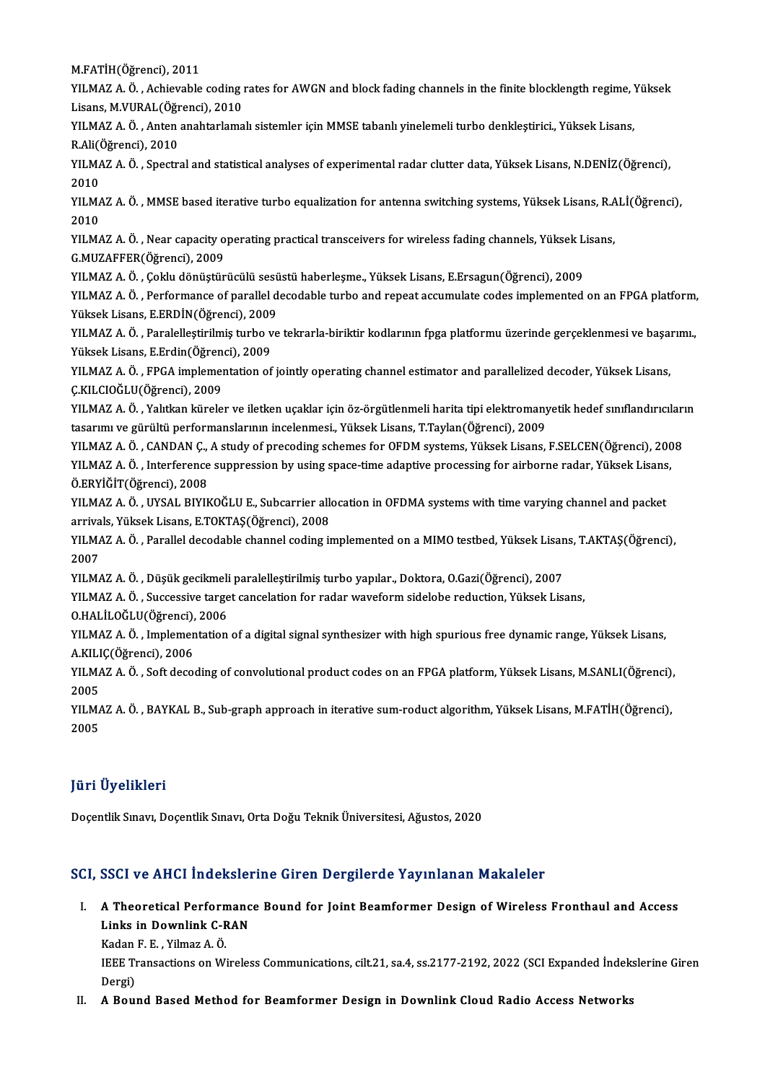M.FATİH(Öğrenci),2011

M.FATİH(Öğrenci), 2011<br>YILMAZ A. Ö. , Achievable coding rates for AWGN and block fading channels in the finite blocklength regime, Yüksek<br>Lisans M.VUPAL(Öğrengi), 2010 M.FATİH(Öğrenci), 2011<br>YILMAZ A. Ö. , Achievable coding ı<br>Lisans, M.VURAL(Öğrenci), 2010<br>YU MAZ A. Ö. , Anton anabtarlama YILMAZ A. Ö. , Achievable coding rates for AWGN and block fading channels in the finite blocklength regime, '<br>Lisans, M.VURAL(Öğrenci), 2010<br>YILMAZ A. Ö. , Anten anahtarlamalı sistemler için MMSE tabanlı yinelemeli turbo d

Lisans, M.VURAL (Öğr<br>YILMAZ A. Ö. , Anten<br>R.Ali(Öğrenci), 2010<br>YILMAZ A. Ö. Spectr YILMAZ A. Ö. , Anten anahtarlamalı sistemler için MMSE tabanlı yinelemeli turbo denkleştirici., Yüksek Lisans,<br>R.Ali(Öğrenci), 2010<br>YILMAZ A. Ö. , Spectral and statistical analyses of experimental radar clutter data, Yükse

R.Ali(Öğrenci), 2010<br>YILMAZ A. Ö. , Spectr<br>2010 YILMAZ A. Ö. , Spectral and statistical analyses of experimental radar clutter data, Yüksek Lisans, N.DENİZ(Öğrenci),<br>2010<br>YILMAZ A. Ö. , MMSE based iterative turbo equalization for antenna switching systems, Yüksek Lisans

YILMAZ A. Ö. , MMSE based iterative turbo equalization for antenna switching systems, Yüksek Lisans, R.ALİ(Öğrenci),<br>2010 YILMAZ A. Ö. , MMSE based iterative turbo equalization for antenna switching systems, Yüksek Lisans, R.A<br>2010<br>YILMAZ A. Ö. , Near capacity operating practical transceivers for wireless fading channels, Yüksek Lisans,<br>C.MUZ

2010<br>YILMAZ A. Ö. , Near capacity o<br>G.MUZAFFER(Öğrenci), 2009<br>YU MAZ A. Ö. . Coldu dönüstür YILMAZ A. Ö. , Near capacity operating practical transceivers for wireless fading channels, Yüksek L<br>G.MUZAFFER(Öğrenci), 2009<br>YILMAZ A. Ö. , Çoklu dönüştürücülü sesüstü haberleşme., Yüksek Lisans, E.Ersagun(Öğrenci), 2009

G.MUZAFFER(Öğrenci), 2009<br>YILMAZ A. Ö. , Çoklu dönüştürücülü sesüstü haberleşme., Yüksek Lisans, E.Ersagun(Öğrenci), 2009<br>YILMAZ A. Ö. , Performance of parallel decodable turbo and repeat accumulate codes implemented on an YILMAZ A. Ö. , Çoklu dönüştürücülü sesü<br>YILMAZ A. Ö. , Performance of parallel d<br>Yüksek Lisans, E.ERDİN(Öğrenci), 2009<br>YU MAZ A. Ö. , Paralallastirilmiş turba ve YILMAZ A. Ö. , Performance of parallel decodable turbo and repeat accumulate codes implemented on an FPGA platform,<br>Yüksek Lisans, E.ERDİN(Öğrenci), 2009<br>Yüksek Lisans, E.ERDİN(Öğrenci), 2009<br>Yüksek Lisans, E.Erdin(Öğrenci

Yüksek Lisans, E.ERDİN(Öğrenci), 2009<br>YILMAZ A. Ö. , Paralelleştirilmiş turbo v<br>Yüksek Lisans, E.Erdin(Öğrenci), 2009<br>YU MAZ A. Ö. , EPCA implementation of YILMAZ A. Ö. , Paralelleştirilmiş turbo ve tekrarla-biriktir kodlarının fpga platformu üzerinde gerçeklenmesi ve başa:<br>Yüksek Lisans, E.Erdin(Öğrenci), 2009<br>YILMAZ A. Ö. , FPGA implementation of jointly operating channel e

Yüksek Lisans, E.Erdin(Öğrenci), 2009<br>YILMAZ A. Ö. , FPGA implementation of jointly operating channel estimator and parallelized decoder, Yüksek Lisans,<br>C.KILCIOĞLU(Öğrenci), 2009 YILMAZ A. Ö. , FPGA implementation of jointly operating channel estimator and parallelized decoder, Yüksek Lisans,<br>Ç.KILCIOĞLU(Öğrenci), 2009<br>YILMAZ A. Ö. , Yalıtkan küreler ve iletken uçaklar için öz-örgütlenmeli harita t

Ç.KILCIOĞLU(Öğrenci), 2009<br>YILMAZ A. Ö. , Yalıtkan küreler ve iletken uçaklar için öz-örgütlenmeli harita tipi elektromany<br>tasarımı ve gürültü performanslarının incelenmesi., Yüksek Lisans, T.Taylan(Öğrenci), 2009<br>YU MAZ A YILMAZ A. Ö. , Yalıtkan küreler ve iletken uçaklar için öz-örgütlenmeli harita tipi elektromanyetik hedef sınıflandırıcıları<br>tasarımı ve gürültü performanslarının incelenmesi., Yüksek Lisans, T.Taylan(Öğrenci), 2009<br>YILMAZ tasarımı ve gürültü performanslarının incelenmesi., Yüksek Lisans, T.Taylan(Öğrenci), 2009<br>YILMAZ A. Ö. , CANDAN Ç., A study of precoding schemes for OFDM systems, Yüksek Lisans, F.SELCEN(Öğrenci), 2008

Ö.ERYİĞİT(Öğrenci),2008

YILMAZ A. Ö. , Interference suppression by using space-time adaptive processing for airborne radar, Yüksek Lisans,<br>Ö.ERYİĞİT(Öğrenci), 2008<br>YILMAZ A. Ö. , UYSAL BIYIKOĞLU E., Subcarrier allocation in OFDMA systems with tim YILMAZ A. Ö., UYSAL BIYIKOĞLU E., Subcarrier allocation in OFDMA systems with time varying channel and packet YILMAZ A. Ö. , UYSAL BIYIKOĞLU E., Subcarrier allocation in OFDMA systems with time varying channel and packet<br>arrivals, Yüksek Lisans, E.TOKTAŞ(Öğrenci), 2008<br>YILMAZ A. Ö. , Parallel decodable channel coding implemented o

arriva<br>YILM*I*<br>2007<br>YU M YILMAZ A. Ö. , Parallel decodable channel coding implemented on a MIMO testbed, Yüksek Lisan<br>2007<br>YILMAZ A. Ö. , Düşük gecikmeli paralelleştirilmiş turbo yapılar., Doktora, O.Gazi(Öğrenci), 2007<br>YILMAZ A. Ö. , Suggeçiye ta

2007<br>YILMAZ A. Ö. , Düşük gecikmeli paralelleştirilmiş turbo yapılar., Doktora, O.Gazi(Öğrenci), 2007<br>YILMAZ A. Ö. , Successive target cancelation for radar waveform sidelobe reduction, Yüksek Lisans,<br>Q.HALİLOĞLU(Öğrengi), YILMAZ A. Ö. , Düşük gecikmeli<br>YILMAZ A. Ö. , Successive targe<br>O.HALİLOĞLU(Öğrenci), 2006<br>YU MAZ A. Ö. , İmplementation

YILMAZ A. Ö. , Successive target cancelation for radar waveform sidelobe reduction, Yüksek Lisans,<br>O.HALİLOĞLU(Öğrenci), 2006<br>YILMAZ A. Ö. , Implementation of a digital signal synthesizer with high spurious free dynamic ra O.HALİLOĞLU(Öğrenci),<br>YILMAZ A. Ö. , Implemen<br>A.KILIÇ(Öğrenci), 2006<br>YILMAZ A. Ö. Seft desse YILMAZ A. Ö. , Implementation of a digital signal synthesizer with high spurious free dynamic range, Yüksek Lisans,<br>A.KILIÇ(Öğrenci), 2006<br>YILMAZ A. Ö. , Soft decoding of convolutional product codes on an FPGA platform, Yü

A.KILI<br>YILM*I*<br>2005<br>YU M YILMAZ A. Ö. , Soft decoding of convolutional product codes on an FPGA platform, Yüksek Lisans, M.SANLI(Öğrenci),<br>2005<br>YILMAZ A. Ö. , BAYKAL B., Sub-graph approach in iterative sum-roduct algorithm, Yüksek Lisans, M.FATİH(

2005<br>YILMAZ A. Ö. , BAYKAL B., Sub-graph approach in iterative sum-roduct algorithm, Yüksek Lisans, M.FATİH(Öğrenci),<br>2005

#### JüriÜyelikleri

Doçentlik Sınavı, Doçentlik Sınavı, Orta Doğu Teknik Üniversitesi, Ağustos, 2020

#### SCI, SSCI ve AHCI İndekslerine Giren Dergilerde Yayınlanan Makaleler

CI, SSCI ve AHCI İndekslerine Giren Dergilerde Yayınlanan Makaleler<br>I. A Theoretical Performance Bound for Joint Beamformer Design of Wireless Fronthaul and Access<br>Links in Dewnlink G PAN **Example 12 And School**<br>A Theoretical Performanc<br>Links in Downlink C-RAN<br>Kedan E. E., Vilman A. Ö. A Theoretical Perforn<br>Links in Downlink C-F<br>Kadan F. E. , Yilmaz A. Ö.<br><sup>IEEE Tronsections on Wi</sup>

Kadan F. E., Yilmaz A. Ö.

Links in Downlink C-RAN<br>Kadan F. E. , Yilmaz A. Ö.<br>IEEE Transactions on Wireless Communications, cilt.21, sa.4, ss.2177-2192, 2022 (SCI Expanded İndekslerine Giren<br>Dergi)

II. A Bound Based Method for Beamformer Design in Downlink Cloud Radio Access Networks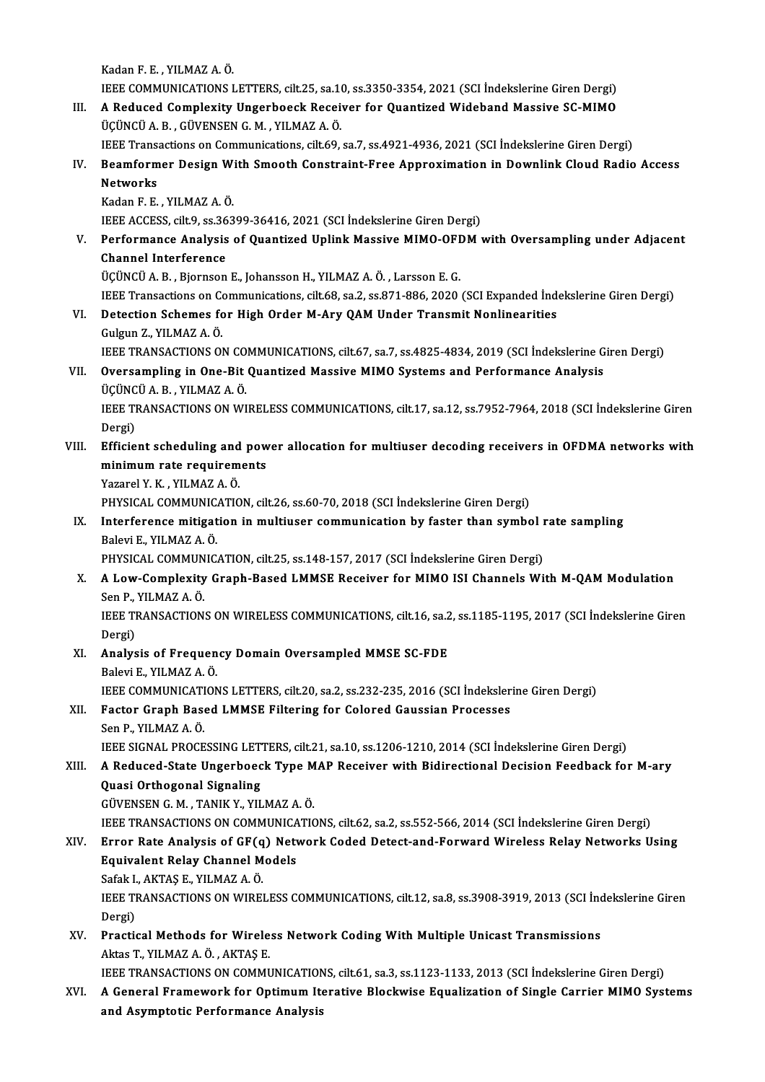KadanF.E. ,YILMAZA.Ö.

Kadan F. E. , YILMAZ A. Ö.<br>IEEE COMMUNICATIONS LETTERS, cilt.25, sa.10, ss.3350-3354, 2021 (SCI İndekslerine Giren Dergi)<br>A Bedused Complexity Ungerbeeck Bessiyer for Quantized Widebard Messiye SC MIMO

Kadan F. E. , YILMAZ A. Ö.<br>IEEE COMMUNICATIONS LETTERS, cilt.25, sa.10, ss.3350-3354, 2021 (SCI İndekslerine Giren Dergi)<br>III. A Reduced Complexity Ungerboeck Receiver for Quantized Wideband Massive SC-MIMO IEEE COMMUNICATIONS LETTERS, cilt.25, sa.1<br>A Reduced Complexity Ungerboeck Recei<br>ÜÇÜNCÜ A. B. , GÜVENSEN G. M. , YILMAZ A. Ö.<br>IEEE Transastians on Communisations, silt 60. A Reduced Complexity Ungerboeck Receiver for Quantized Wideband Massive SC-MIMO<br>ÜÇÜNCÜ A. B. , GÜVENSEN G. M. , YILMAZ A. Ö.<br>IEEE Transactions on Communications, cilt.69, sa.7, ss.4921-4936, 2021 (SCI İndekslerine Giren De

ÜÇÜNCÜ A. B. , GÜVENSEN G. M. , YILMAZ A. Ö.<br>IEEE Transactions on Communications, cilt.69, sa.7, ss.4921-4936, 2021 (SCI İndekslerine Giren Dergi)<br>IV. Beamformer Design With Smooth Constraint-Free Approximation in Down **IEEE Trans<br>Beamform<br>Networks<br>Kadan E-E** Beamformer Design W:<br>Networks<br>Kadan F. E. , YILMAZ A. Ö.<br><sup>IEEE ACCESS cilt 9, ss 262</sup>

Networks<br>Kadan F. E. , YILMAZ A. Ö.<br>IEEE ACCESS, cilt.9, ss.36399-36416, 2021 (SCI İndekslerine Giren Dergi)<br>Performance Analysis of Quantired Unlink Massiye MIMO OEDM ı

Kadan F. E. , YILMAZ A. Ö.<br>IEEE ACCESS, cilt.9, ss.36399-36416, 2021 (SCI İndekslerine Giren Dergi)<br>V. Performance Analysis of Quantized Uplink Massive MIMO-OFDM with Oversampling under Adjacent<br>Channel Interference **IEEE ACCESS, cilt.9, ss.36**<br>Performance Analysis<br>Channel Interference Performance Analysis of Quantized Uplink Massive MIMO-OFI<br>Channel Interference<br>ÜÇÜNCÜ A. B. , Bjornson E., Johansson H., YILMAZ A. Ö. , Larsson E. G.<br>IEEE Transastians on Communisations, silt 69, sa 2, ss 971, 996, 2020. Channel Interference<br>ÜÇÜNCÜ A. B. , Bjornson E., Johansson H., YILMAZ A. Ö. , Larsson E. G.<br>IEEE Transactions on Communications, cilt.68, sa.2, ss.871-886, 2020 (SCI Expanded İndekslerine Giren Dergi)

VI. Detection Schemes for High Order M-Ary QAMUnder Transmit Nonlinearities Gulgun Z., YILMAZ A. Ö.

IEEE TRANSACTIONS ON COMMUNICATIONS, cilt.67, sa.7, ss.4825-4834, 2019 (SCI İndekslerine Giren Dergi)

## VI . Oversampling in One-Bit Quantized MassiveMIMO Systems and Performance Analysis **IEEE TRANSACTIONS ON CO.<br>Oversampling in One-Bit<br>ÜÇÜNCÜ A. B. , YILMAZ A. Ö.**<br>IEEE TRANSACTIONS ON WI Oversampling in One-Bit Quantized Massive MIMO Systems and Performance Analysis<br>ÜÇÜNCÜ A. B. , YILMAZ A. Ö.<br>IEEE TRANSACTIONS ON WIRELESS COMMUNICATIONS, cilt.17, sa.12, ss.7952-7964, 2018 (SCI İndekslerine Giren<br>Persi)

ÜÇÜNC<br>IEEE TI<br>Dergi)<br>Efficia IEEE TRANSACTIONS ON WIRELESS COMMUNICATIONS, cilt.17, sa.12, ss.7952-7964, 2018 (SCI İndekslerine Giren<br>Dergi)<br>VIII. Efficient scheduling and power allocation for multiuser decoding receivers in OFDMA networks with<br>minimu

## Dergi)<br>Efficient scheduling and pow<br>minimum rate requirements<br>Yazarel V K - VII MAZ A Ö Efficient scheduling and<br>minimum rate requirem<br>Yazarel Y. K. , YILMAZ A. Ö.<br>PHYSICAL COMMUNICATIO minimum rate requirements<br>Yazarel Y. K. , YILMAZ A. Ö.<br>PHYSICAL COMMUNICATION, cilt.26, ss.60-70, 2018 (SCI İndekslerine Giren Dergi)<br>Interference mitigation in multiuser communication by factor than symbo

Yazarel Y. K. , YILMAZ A. Ö.<br>PHYSICAL COMMUNICATION, cilt.26, ss.60-70, 2018 (SCI İndekslerine Giren Dergi)<br>IX. Interference mitigation in multiuser communication by faster than symbol rate sampling<br>Pelevi E. YILMAZ A. PHYSICAL COMMUNIC.<br>Interference mitigat<br>Balevi E., YILMAZ A. Ö.<br>PHYSICAL COMMUNIC Interference mitigation in multiuser communication by faster than symbol r<br>Balevi E., YILMAZ A. Ö.<br>PHYSICAL COMMUNICATION, cilt.25, ss.148-157, 2017 (SCI İndekslerine Giren Dergi)<br>A Lew Complexity Creph Based LIMASE Beseiv

PHYSICAL COMMUNICATION, cilt.25, ss.148-157, 2017 (SCI İndekslerine Giren Dergi)

Balevi E., YILMAZ A. Ö.<br>PHYSICAL COMMUNICATION, cilt.25, ss.148-157, 2017 (SCI İndekslerine Giren Dergi)<br>X. A Low-Complexity Graph-Based LMMSE Receiver for MIMO ISI Channels With M-QAM Modulation<br>Sen P., YILMAZ A. Ö. A Low-Complexity Graph-Based LMMSE Receiver for MIMO ISI Channels With M-QAM Modulation<br>Sen P., YILMAZ A. Ö.<br>IEEE TRANSACTIONS ON WIRELESS COMMUNICATIONS, cilt.16, sa.2, ss.1185-1195, 2017 (SCI İndekslerine Giren<br>Persi)

Sen P.,<br>IEEE TI<br>Dergi)<br>Analys IEEE TRANSACTIONS ON WIRELESS COMMUNICATIONS, cilt.16, sa.2<br>Dergi)<br>XI. Analysis of Frequency Domain Oversampled MMSE SC-FDE<br>Pelsyi E. XII MAZ A. Ö.

Dergi)<br><mark>Analysis of Frequen</mark><br>Balevi E., YILMAZ A. Ö.<br>JEEE COMMUNICATION Analysis of Frequency Domain Oversampled MMSE SC-FDE<br>Balevi E., YILMAZ A. Ö.<br>IEEE COMMUNICATIONS LETTERS, cilt.20, sa.2, ss.232-235, 2016 (SCI İndekslerine Giren Dergi)<br>Fester Craph Based J MMSE Eiltering for Colored Couss Balevi E., YILMAZ A. Ö.<br>IEEE COMMUNICATIONS LETTERS, cilt.20, sa.2, ss.232-235, 2016 (SCI İndeksler<br>XII. Factor Graph Based LMMSE Filtering for Colored Gaussian Processes<br>Sen B. YU MAZ A. Ö.

## IEEE COMMUNICATI<br>Factor Graph Base<br>Sen P., YILMAZ A. Ö.<br>JEEE SICNAL PROCE XII. Factor Graph Based LMMSE Filtering for Colored Gaussian Processes<br>Sen P., YILMAZ A. Ö.<br>IEEE SIGNAL PROCESSING LETTERS, cilt.21, sa.10, ss.1206-1210, 2014 (SCI İndekslerine Giren Dergi) Sen P., YILMAZ A. Ö.<br>IEEE SIGNAL PROCESSING LETTERS, cilt.21, sa.10, ss.1206-1210, 2014 (SCI İndekslerine Giren Dergi)<br>XIII. A Reduced-State Ungerboeck Type MAP Receiver with Bidirectional Decision Feedback for M-ary<br>O

## **IEEE SIGNAL PROCESSING LET<br>A Reduced-State Ungerboec<br>Quasi Orthogonal Signaling**<br>CÜVENSEN C M -TANIK V -VII A Reduced-State Ungerboeck Type M<br>Quasi Orthogonal Signaling<br>GÜVENSEN G. M. , TANIK Y., YILMAZ A. Ö.<br>JEEE TRANSACTIONS ON COMMUNICATIO Quasi Orthogonal Signaling<br>GÜVENSEN G. M. , TANIK Y., YILMAZ A. Ö.<br>IEEE TRANSACTIONS ON COMMUNICATIONS, cilt.62, sa.2, ss.552-566, 2014 (SCI İndekslerine Giren Dergi)<br>Errer Pata Analysis of CE(a) Natyork Codad Datast and E

## GÜVENSEN G. M. , TANIK Y., YILMAZ A. Ö.<br>IEEE TRANSACTIONS ON COMMUNICATIONS, cilt.62, sa.2, ss.552-566, 2014 (SCI İndekslerine Giren Dergi)<br>XIV. Error Rate Analysis of GF(q) Network Coded Detect-and-Forward Wireless Re **IEEE TRANSACTIONS ON COMMUNICA<br>Error Rate Analysis of GF(q) Netwi<br>Equivalent Relay Channel Models<br>Sefak LAKTAS E - VILMAZ A Ö** Error Rate Analysis of GF(q<br>Equivalent Relay Channel M<br>Safak I., AKTAŞ E., YILMAZ A. Ö.<br>IEEE TRANSACTIONS ON WIRE!

Safak I., AKTAS E., YILMAZ A. Ö.

Equivalent Relay Channel Models<br>Safak I., AKTAŞ E., YILMAZ A. Ö.<br>IEEE TRANSACTIONS ON WIRELESS COMMUNICATIONS, cilt.12, sa.8, ss.3908-3919, 2013 (SCI İndekslerine Giren<br>Dergi) IEEE TRANSACTIONS ON WIRELESS COMMUNICATIONS, cilt.12, sa.8, ss.3908-3919, 2013 (SCI Inc<br>Dergi)<br>XV. Practical Methods for Wireless Network Coding With Multiple Unicast Transmissions<br>Alter T. VII MAZ A.Ö. AVTAS E

Dergi)<br>Practical Methods for Wirele<br>Aktas T., YILMAZ A. Ö. , AKTAŞ E.<br>JEEE TRANSACTIONS ON COMMI Aktas T., YILMAZ A. Ö. , AKTAŞ E.<br>IEEE TRANSACTIONS ON COMMUNICATIONS, cilt.61, sa.3, ss.1123-1133, 2013 (SCI İndekslerine Giren Dergi)

Aktas T., YILMAZ A. Ö. , AKTAŞ E.<br>IEEE TRANSACTIONS ON COMMUNICATIONS, cilt.61, sa.3, ss.1123-1133, 2013 (SCI İndekslerine Giren Dergi)<br>XVI. A General Framework for Optimum Iterative Blockwise Equalization of Single Ca IEEE TRANSACTIONS ON COMMUNICATION<br>A General Framework for Optimum It<br>and Asymptotic Performance Analysis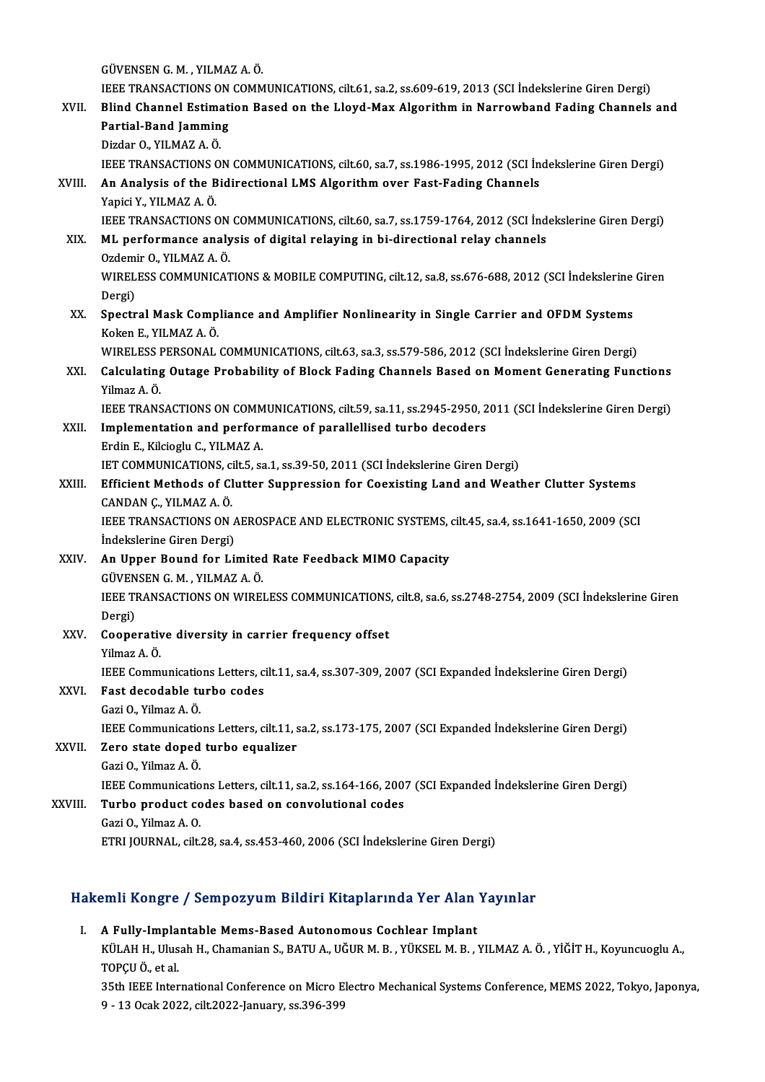GÜVENSENG.M. ,YILMAZA.Ö.

GÜVENSEN G. M. , YILMAZ A. Ö.<br>IEEE TRANSACTIONS ON COMMUNICATIONS, cilt.61, sa.2, ss.609-619, 2013 (SCI İndekslerine Giren Dergi)<br>Blind Channel Estimation Based on the Llevd May Alsonithm in Nannayshand Eading Channels

#### GÜVENSEN G. M. , YILMAZ A. Ö.<br>IEEE TRANSACTIONS ON COMMUNICATIONS, cilt.61, sa.2, ss.609-619, 2013 (SCI İndekslerine Giren Dergi)<br>XVII. Blind Channel Estimation Based on the Lloyd-Max Algorithm in Narrowband Fading Cha **IEEE TRANSACTIONS ON<br>Blind Channel Estimat<br>Partial-Band Jamming<br>Dirdar O YU MAZ A Ö** Blind Channel Estimation Based on the Lloyd-Max Algorithm in Narrowband Fading Channels and Partial-Band Jamming<br>Partial-Band Jamming<br>Dizdar O., YILMAZ A. Ö.

IEEE TRANSACTIONS ON COMMUNICATIONS, cilt.60, sa.7, ss.1986-1995, 2012 (SCI İndekslerine Giren Dergi)

# Dizdar O., YILMAZ A. Ö.<br>IEEE TRANSACTIONS ON COMMUNICATIONS, cilt.60, sa.7, ss.1986-1995, 2012 (SCI İn<br>XVIII. An Analysis of the Bidirectional LMS Algorithm over Fast-Fading Channels<br>Vanisi V. VII MAZ A. Ö. **IEEE TRANSACTIONS<br>An Analysis of the B<br>Yapici Y., YILMAZ A. Ö.**<br>JEEE TRANSACTIONS C

Yapici Y., YILMAZ A. Ö.<br>IEEE TRANSACTIONS ON COMMUNICATIONS, cilt.60, sa.7, ss.1759-1764, 2012 (SCI İndekslerine Giren Dergi)

# Yapici Y., YILMAZ A. Ö.<br>IEEE TRANSACTIONS ON COMMUNICATIONS, cilt.60, sa.7, ss.1759-1764, 2012 (SCI İnd<br>XIX. ML performance analysis of digital relaying in bi-directional relay channels<br>Ordamir O. XII MAZ A. Ö IEEE TRANSACTIONS ON<br>**ML performance analy<br>Ozdemir O., YILMAZ A. Ö.**<br>WIPELESS COMMINICAT

WIRELESS COMMUNICATIONS & MOBILE COMPUTING, cilt.12, sa.8, ss.676-688, 2012 (SCI İndekslerine Giren<br>Dergi) Ozdemir O., YILMAZ A Ö. WIRELESS COMMUNICATIONS & MOBILE COMPUTING, cilt.12, sa.8, ss.676-688, 2012 (SCI Indekslerine<br>Dergi)<br>XX. Spectral Mask Compliance and Amplifier Nonlinearity in Single Carrier and OFDM Systems<br>Kelter E. XII MAZ A. Ö.

# Dergi)<br>Spectral Mask Comp<br>Koken E., YILMAZ A. Ö.<br>WIPELESS PERSONAL Spectral Mask Compliance and Amplifier Nonlinearity in Single Carrier and OFDM Systems<br>Koken E., YILMAZ A. Ö.<br>WIRELESS PERSONAL COMMUNICATIONS, cilt.63, sa.3, ss.579-586, 2012 (SCI İndekslerine Giren Dergi)<br>Colculating Qut

## Koken E., YILMAZ A. Ö.<br>WIRELESS PERSONAL COMMUNICATIONS, cilt.63, sa.3, ss.579-586, 2012 (SCI İndekslerine Giren Dergi)<br>XXI. Calculating Outage Probability of Block Fading Channels Based on Moment Generating Functions<br> WIRELESS<br>Calculating<br>Yilmaz A. Ö.<br>JEEE TRANS Calculating Outage Probability of Block Fading Channels Based on Moment Generating Functions<br>Yilmaz A. Ö.<br>IEEE TRANSACTIONS ON COMMUNICATIONS, cilt.59, sa.11, ss.2945-2950, 2011 (SCI İndekslerine Giren Dergi)<br>Implementatio

## Yilmaz A. Ö.<br>IEEE TRANSACTIONS ON COMMUNICATIONS, cilt.59, sa.11, ss.2945-2950, 2<br>XXII. Implementation and performance of parallellised turbo decoders<br>Frdin E. Kilsiagh: C. VII MAZ A. **IEEE TRANSACTIONS ON COMM<br>Implementation and perform<br>Erdin E., Kilcioglu C., YILMAZ A.<br>IET COMMUNICATIONS cilt 5, 53** Implementation and performance of parallellised turbo decoders<br>Erdin E., Kilcioglu C., YILMAZ A.<br>IET COMMUNICATIONS, cilt.5, sa.1, ss.39-50, 2011 (SCI İndekslerine Giren Dergi)<br>Efficient Methods of Clutter Sunnression for

## Erdin E., Kilcioglu C., YILMAZ A.<br>IET COMMUNICATIONS, cilt5, sa.1, ss.39-50, 2011 (SCI İndekslerine Giren Dergi)<br>XXIII. Efficient Methods of Clutter Suppression for Coexisting Land and Weather Clutter Systems<br>CANDAN C. VIL IET COMMUNICATIONS, component<br>Efficient Methods of Cl<br>CANDAN C., YILMAZ A. Ö.<br>JEEE TRANSACTIONS ON Efficient Methods of Clutter Suppression for Coexisting Land and Weather Clutter Systems<br>CANDAN Ç., YILMAZ A. Ö.<br>IEEE TRANSACTIONS ON AEROSPACE AND ELECTRONIC SYSTEMS, cilt.45, sa.4, ss.1641-1650, 2009 (SCI

CANDAN Ç., YILMAZ A. Ö.<br>IEEE TRANSACTIONS ON A<br>İndekslerine Giren Dergi)<br>An Haner Beund for Li IEEE TRANSACTIONS ON AEROSPACE AND ELECTRONIC SYSTEMS,<br>
indekslerine Giren Dergi)<br>
XXIV. An Upper Bound for Limited Rate Feedback MIMO Capacity<br>
CUVENSEN C.M. VILMAZ A.Ö

#### İndekslerine Giren Dergi)<br>XXIV. An Upper Bound for Limited Rate Feedback MIMO Capacity<br>GÜVENSEN G. M. , YILMAZ A. Ö. An Upper Bound for Limited Rate Feedback MIMO Capacity<br>GÜVENSEN G. M. , YILMAZ A. Ö.<br>IEEE TRANSACTIONS ON WIRELESS COMMUNICATIONS, cilt.8, sa.6, ss.2748-2754, 2009 (SCI İndekslerine Giren<br>Persi) GÜVEN<br>IEEE TI<br>Dergi)<br>Geene

## IEEE TRANSACTIONS ON WIRELESS COMMUNICATIONS<br>Dergi)<br>XXV. Cooperative diversity in carrier frequency offset<br>Vilmar A. Ö Dergi)<br><mark>Cooperativ</mark><br>Yilmaz A. Ö.<br><sup>IEEE</sup> Comm Cooperative diversity in carrier frequency offset<br>Yilmaz A. Ö.<br>IEEE Communications Letters, cilt.11, sa.4, ss.307-309, 2007 (SCI Expanded İndekslerine Giren Dergi)<br>Fest desedeble turbe sedes

## Yilmaz A. Ö.<br>IEEE Communications Letters, c<br>XXVI. Fast decodable turbo codes<br>Gazi O., Yilmaz A. Ö. IEEE Communicatio<br>Fast decodable tu<br>Gazi O., Yilmaz A. Ö.<br>IEEE Communicatio

Fast decodable turbo codes<br>Gazi O., Yilmaz A. Ö.<br>IEEE Communications Letters, cilt.11, sa.2, ss.173-175, 2007 (SCI Expanded İndekslerine Giren Dergi)<br>Zare state daned turbe equaliser

#### XXVII. Zero state doped turbo equalizer<br>Gazi O., Yilmaz A. Ö. IEEE Communicatio<br>Zero state doped<br>Gazi O., Yilmaz A. Ö.<br>IEEE Communicatio

Zero state doped turbo equalizer<br>Gazi O., Yilmaz A. Ö.<br>IEEE Communications Letters, cilt.11, sa.2, ss.164-166, 2007 (SCI Expanded İndekslerine Giren Dergi)<br>Turbo produst sodes based en senyelutional sodes

#### XXVIII. Turbo product codes based on convolutional codes<br>Gazi O., Yilmaz A. O. **IEEE Communicatio<br>Turbo product co<br>Gazi O., Yilmaz A. O.**<br>ETBI JOUPMAL cilt

- - ETRI JOURNAL, cilt.28, sa.4, ss.453-460, 2006 (SCI İndekslerine Giren Dergi)

# ETRI JOORNAL, CIL28, Sa.4, SS.453-460, 2006 (SCI Indeksierine Giren Dergi)<br>Hakemli Kongre / Sempozyum Bildiri Kitaplarında Yer Alan Yayınlar akemli Kongre / Sempozyum Bildiri Kitaplarında Yer Alan<br>I. A Fully-Implantable Mems-Based Autonomous Cochlear Implant<br>E<sup>VÜLAH He</sub> Ulugh He Chamanian S. BATUA, Uğun M. Be VÜKSEL M. Be</sup>

XIIII ROAŞIC 7 SOMPOZJ'UM SAUNT RRUPULTIYU TOT AMITTIYAN<br>A Fully-Implantable Mems-Based Autonomous Cochlear Implant<br>KÜLAH H., Ulusah H., Chamanian S., BATU A., UĞUR M. B. , YÜKSEL M. B. , YILMAZ A. Ö. , YİĞİT H., Koyuncuog A Fully-Impla<br>KÜLAH H., Ulus<br>TOPÇU Ö., et al.<br>25th IEEE Inter KÜLAH H., Ulusah H., Chamanian S., BATU A., UĞUR M. B. , YÜKSEL M. B. , YILMAZ A. Ö. , YİĞİT H., Koyuncuoglu A.,<br>TOPÇU Ö., et al.<br>35th IEEE International Conference on Micro Electro Mechanical Systems Conference, MEMS 2022

TOPÇU Ö., et al.<br>35th IEEE International Conference on Micro Electro Mechanical Systems Conference, MEMS 2022, Tokyo, Japonya,<br>9 - 13 Ocak 2022, cilt.2022-January, ss.396-399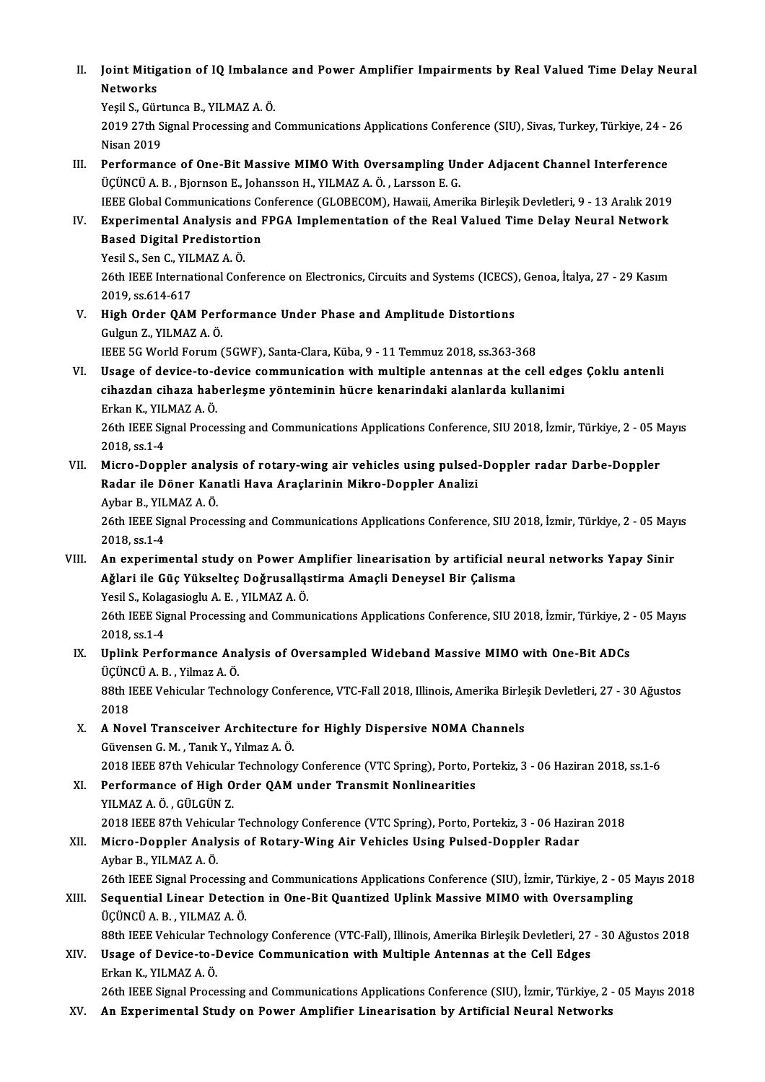II. Joint Mitigation of IQ Imbalance and Power Amplifier Impairments by Real Valued Time Delay Neural<br>Networks **Joint Mitig**<br>Networks<br><sup>Vosil S. Gür</sup> Joint Mitigation of IQ Imbalan<br>Networks<br>Yeşil S., Gürtunca B., YILMAZ A. Ö.<br>2010 27th Sirnal Processing and t

Networks<br>Yeşil S., Gürtunca B., YILMAZ A. Ö.<br>2019 27th Signal Processing and Communications Applications Conference (SIU), Sivas, Turkey, Türkiye, 24 - 26 Yeşil S., Gürt<br>2019 27th S<br>Nisan 2019<br>Performan 2019 27th Signal Processing and Communications Applications Conference (SIU), Sivas, Turkey, Türkiye, 24 - Nisan 2019<br>III. Performance of One-Bit Massive MIMO With Oversampling Under Adjacent Channel Interference<br>III. Perf

- Nisan 2019<br>Performance of One-Bit Massive MIMO With Oversampling Under Adjacent Channel Interference<br>ÜÇÜNCÜ A. B. , Bjornson E., Johansson H., YILMAZ A. Ö. , Larsson E. G.<br>IEEE Global Communications Conference (GLOBECOM), Performance of One-Bit Massive MIMO With Oversampling Under Adjacent Channel Interference<br>ÜÇÜNCÜ A. B. , Bjornson E., Johansson H., YILMAZ A. Ö. , Larsson E. G.<br>IEEE Global Communications Conference (GLOBECOM), Hawaii, Ame
- UÇÜNCÜ A. B. , Bjornson E., Johansson H., YILMAZ A. Ö. , Larsson E. G.<br>IEEE Global Communications Conference (GLOBECOM), Hawaii, Amerika Birleşik Devletleri, 9 13 Aralık 2019<br>IV. Experimental Analysis and FPGA Implem **IEEE Global Communications Confirmental Analysis and I**<br>Based Digital Predistortion<br>Vesil S. Son G. VII MAZ A. Ö Experimental Analysis ar<br>Based Digital Predistorti<br>Yesil S., Sen C., YILMAZ A. Ö.<br>26th IEEE International Con

Yesil S., Sen C., YILMAZ A Ö.

Based Digital Predistortion<br>Yesil S., Sen C., YILMAZ A. Ö.<br>26th IEEE International Conference on Electronics, Circuits and Systems (ICECS), Genoa, İtalya, 27 - 29 Kasım<br>2019, ss.614-617 26th IEEE International Conference on Electronics, Circuits and Systems (ICECS)<br>2019, ss.614-617<br>V. High Order QAM Performance Under Phase and Amplitude Distortions<br>Culmp 7, VII MAZA Ö

2019, ss.614-617<br>High Order QAM Perf<br>Gulgun Z., YILMAZ A. Ö.<br><sup>IEEE EC World Forum</sup> ( High Order QAM Performance Under Phase and Amplitude Distortions<br>Gulgun Z., YILMAZ A. Ö.<br>IEEE 5G World Forum (5GWF), Santa-Clara, Küba, 9 - 11 Temmuz 2018, ss.363-368<br>Haage of devise to devise communication with multiple a

Gulgun Z., YILMAZ A. Ö.<br>IEEE 5G World Forum (5GWF), Santa-Clara, Küba, 9 - 11 Temmuz 2018, ss.363-368<br>VI. Usage of device-to-device communication with multiple antennas at the cell edges Çoklu antenli<br>eibardan sibara ba IEEE 5G World Forum (5GWF), Santa-Clara, Küba, 9 - 11 Temmuz 2018, ss.363-368<br>Usage of device-to-device communication with multiple antennas at the cell edg<br>cihazdan cihaza haberleşme yönteminin hücre kenarindaki alanlarda Usage of device-to-d<br>cihazdan cihaza hab<br>Erkan K., YILMAZ A.Ö.<br>26th IEEE Signal Proce cihazdan cihaza haberleşme yönteminin hücre kenarindaki alanlarda kullanimi<br>Erkan K., YILMAZ A. Ö.<br>26th IEEE Signal Processing and Communications Applications Conference, SIU 2018, İzmir, Türkiye, 2 - 05 Mayıs

Erkan K., YIL<br>26th IEEE Sig<br>2018, ss.1-4<br>Micro Donr 26th IEEE Signal Processing and Communications Applications Conference, SIU 2018, İzmir, Türkiye, 2 - 05 M<br>2018, ss.1-4<br>VII. Micro-Doppler analysis of rotary-wing air vehicles using pulsed-Doppler radar Darbe-Doppler<br>Poder

# 2018, ss.1-4<br>Micro-Doppler analysis of rotary-wing air vehicles using pulsed<br>Radar ile Döner Kanatli Hava Araçlarinin Mikro-Doppler Analizi<br>Aybar B. YU MAZ A Ö Micro-Doppler analy<br>Radar ile Döner Kan<br>Aybar B., YILMAZ A. Ö.<br>26th IEEE Signal Proce

Radar ile Döner Kanatli Hava Araçlarinin Mikro-Doppler Analizi<br>Aybar B., YILMAZ A. Ö.<br>26th IEEE Signal Processing and Communications Applications Conference, SIU 2018, İzmir, Türkiye, 2 - 05 Mayıs<br>2018.es 1.4 Aybar B., YIL<br>26th IEEE Sig<br>2018, ss.1-4

#### VI I. An experimental study on Power Amplifier linearisation by artificial neural networks Yapay Sinir Ağlari ile Güç Yükselteç Doğrusalląstirma Amaçli Deneysel Bir Çalisma An experimental study on Power Ar<br>Ağlari ile Güç Yükselteç Doğrusallaş<br>Yesil S., Kolagasioglu A.E. , YILMAZ A.Ö.<br>26th IEEE Signal Processing and Commu

26th IEEE Signal Processing and Communications Applications Conference, SIU 2018, İzmir, Türkiye, 2 - 05 Mayıs<br>2018, ss.1-4 Yesil S., Kola<sub>{</sub><br>26th IEEE Sig<br>2018, ss.1-4<br>Unlink Ben<sup>f</sup> 26th IEEE Signal Processing and Communications Applications Conference, SIU 2018, İzmir, Türkiye, 2<br>2018, ss.1-4<br>IX. Uplink Performance Analysis of Oversampled Wideband Massive MIMO with One-Bit ADCs<br>Ticüncü A. B. Vilmaz A

#### 2018, ss.1-4<br>Uplink Performance Ana<br>ÜÇÜNCÜ A. B. , Yilmaz A. Ö.<br>99th JEEE Vebisuler Teebn ÜÇÜNCÜ A.B., Yilmaz A.Ö.

88th IEEE Vehicular Technology Conference, VTC-Fall 2018, Illinois, Amerika Birleşik Devletleri, 27 - 30 Ağustos<br>2018 88th IEEE Vehicular Technology Conference, VTC-Fall 2018, Illinois, Amerika Birle<br>2018<br>X. A Novel Transceiver Architecture for Highly Dispersive NOMA Channels<br>Cüyansan C.M. Tanik V. Vilmar A.Ö

- 2018<br>A Novel Transceiver Architecture<br>Güvensen G. M. , Tanık Y., Yılmaz A. Ö.<br>2019 IEEE 97th Vehicular Technology A Novel Transceiver Architecture for Highly Dispersive NOMA Channels<br>Güvensen G. M. , Tanık Y., Yılmaz A. Ö.<br>2018 IEEE 87th Vehicular Technology Conference (VTC Spring), Porto, Portekiz, 3 - 06 Haziran 2018, ss.1-6<br>Perform
- Güvensen G. M. , Tanık Y., Yılmaz A. Ö.<br>2018 IEEE 87th Vehicular Technology Conference (VTC Spring), Porto, P<br>XI. Performance of High Order QAM under Transmit Nonlinearities<br>VII MAZ A. Ö. CÜLCÜN Z 2018 IEEE 87th Vehicular<br>Performance of High O<br>YILMAZ A. Ö. , GÜLGÜN Z.<br>2019 IEEE 97th Vehicular Performance of High Order QAM under Transmit Nonlinearities<br>YILMAZ A. Ö. , GÜLGÜN Z.<br>2018 IEEE 87th Vehicular Technology Conference (VTC Spring), Porto, Portekiz, 3 - 06 Haziran 2018<br>Misro Donnlar Analysis of Botany Wing A
- YILMAZ A. Ö., GÜLGÜN Z.<br>2018 IEEE 87th Vehicular Technology Conference (VTC Spring), Porto, Portekiz, 3 06 Hazir<br>XII. Micro-Doppler Analysis of Rotary-Wing Air Vehicles Using Pulsed-Doppler Radar<br>Aybar B., YILMAZ A. Ö. 2018 IEEE 87th Vehicu<br>Micro-Doppler Analy<br>Aybar B., YILMAZ A. Ö.<br>26th IEEE Signal Proce 26th IEEE Signal Processing and Communications Applications Conference (SIU), İzmir, Türkiye, 2 - 05 Mayıs 2018
- Aybar B., YILMAZ A. Ö.<br>26th IEEE Signal Processing and Communications Applications Conference (SIU), İzmir, Türkiye, 2 05 |<br>XIII. Sequential Linear Detection in One-Bit Quantized Uplink Massive MIMO with Oversampling 26th IEEE Signal Processing<br>Sequential Linear Detecti<br>ÜÇÜNCÜ A. B. , YILMAZ A. Ö.<br>99th IEEE Vehisular Teshnel ÜÇÜNCÜ A. B. , YILMAZ A. Ö.<br>88th IEEE Vehicular Technology Conference (VTC-Fall), Illinois, Amerika Birleşik Devletleri, 27 - 30 Ağustos 2018
- ÜÇÜNCÜ A. B. , YILMAZ A. Ö.<br>88th IEEE Vehicular Technology Conference (VTC-Fall), Illinois, Amerika Birleşik Devletleri, 27<br>XIV. Usage of Device-to-Device Communication with Multiple Antennas at the Cell Edges<br>Erlean K. XI 88th IEEE Vehicular Te<br>Usage of Device-to-I<br>Erkan K., YILMAZ A.Ö.<br>26th IEEE Signal Proce

Erkan K., YILMAZ A. Ö.<br>26th IEEE Signal Processing and Communications Applications Conference (SIU), İzmir, Türkiye, 2 - 05 Mayıs 2018

XV. An Experimental Study on Power Amplifier Linearisation by Artificial Neural Networks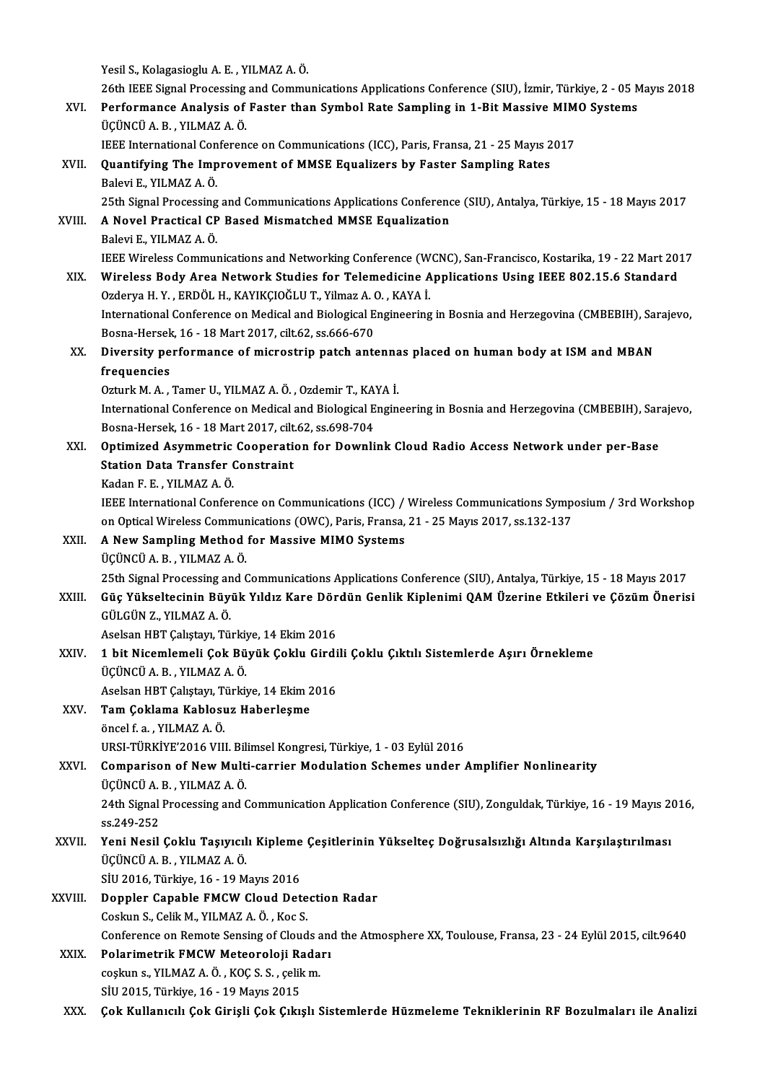- Yesil S., Kolagasioglu A. E., YILMAZ A. Ö. 26th IEEE Signal Processing and Communications Applications Conference (SIU), İzmir, Türkiye, 2 - 05 Mayıs 2018 Yesil S., Kolagasioglu A. E. , YILMAZ A. Ö.<br>26th IEEE Signal Processing and Communications Applications Conference (SIU), İzmir, Türkiye, 2 - 05 M<br>27 N. Performance Analysis of Faster than Symbol Rate Sampling in 1-Bit Mas 26th IEEE Signal Processing<br>Performance Analysis of<br>ÜÇÜNCÜ A. B. , YILMAZ A. Ö. Performance Analysis of Faster than Symbol Rate Sampling in 1-Bit Massive MIM<br>ÜÇÜNCÜ A. B. , YILMAZ A. Ö.<br>IEEE International Conference on Communications (ICC), Paris, Fransa, 21 - 25 Mayıs 2017<br>Quantifying The Impreyement ÜÇÜNCÜ A. B., YILMAZ A. Ö.<br>IEEE International Conference on Communications (ICC), Paris, Fransa, 21 - 25 Mayıs 2<br>XVII. Quantifying The Improvement of MMSE Equalizers by Faster Sampling Rates<br>Balevi E., YILMAZ A. Ö. IEEE International Conference on Communications (ICC), Paris, Fransa, 21 - 25 Mayıs 2017 25th Signal Processing and Communications Applications Conference (SIU), Antalya, Türkiye, 15 - 18 Mayıs 2017 Balevi E., YILMAZ A. Ö.<br>25th Signal Processing and Communications Applications Conference<br>XVIII. A Novel Practical CP Based Mismatched MMSE Equalization 25th Signal Processing<br>**A Novel Practical CP**<br>Balevi E., YILMAZ A. Ö.<br><sup>IEEE Winologs Commun</sup> Balevi E., YILMAZ A. Ö.<br>IEEE Wireless Communications and Networking Conference (WCNC), San-Francisco, Kostarika, 19 - 22 Mart 2017 XIX. Wireless Body Area Network Studies for Telemedicine Applications Using IEEE 802.15.6 Standard OzderyaH.Y. ,ERDÖLH.,KAYIKÇIOĞLUT.,YilmazA.O. ,KAYAİ. Wireless Body Area Network Studies for Telemedicine Applications Using IEEE 802.15.6 Standard<br>Ozderya H. Y. , ERDÖL H., KAYIKÇIOĞLU T., Yilmaz A. O. , KAYA İ.<br>International Conference on Medical and Biological Engineering Ozderya H. Y. , ERDÖL H., KAYIKÇIOĞLU T., Yilmaz A. (<br>International Conference on Medical and Biological E<br>Bosna-Hersek, 16 - 18 Mart 2017, cilt.62, ss.666-670<br>Divensity performance of misrostrip patch ants International Conference on Medical and Biological Engineering in Bosnia and Herzegovina (CMBEBIH), Sa<br>Bosna-Hersek, 16 - 18 Mart 2017, cilt.62, ss.666-670<br>XX. Diversity performance of microstrip patch antennas placed on h Bosna-Hersek, 16 - 18 Mart 2017, cilt.62, ss.666-670<br>Diversity performance of microstrip patch antennas placed on human body at ISM and MBAN<br>frequencies Diversity performance of microstrip patch antenna<br>frequencies<br>Ozturk M. A. , Tamer U., YILMAZ A. Ö. , Ozdemir T., KAYA İ.<br>International Conference en Medical and Biological Engin frequencies<br>Ozturk M. A. , Tamer U., YILMAZ A. Ö. , Ozdemir T., KAYA İ.<br>International Conference on Medical and Biological Engineering in Bosnia and Herzegovina (CMBEBIH), Sarajevo,<br>Respe Hersel: 16, 18 Mert 2017, silt 62, Ozturk M. A. , Tamer U., YILMAZ A. Ö. , Ozdemir T., KAT<br>International Conference on Medical and Biological E<br>Bosna-Hersek, 16 - 18 Mart 2017, cilt.62, ss.698-704<br>Ontimined Asummetris Conception for Downli International Conference on Medical and Biological Engineering in Bosnia and Herzegovina (CMBEBIH), Sar<br>Bosna-Hersek, 16 - 18 Mart 2017, cilt.62, ss.698-704<br>XXI. Optimized Asymmetric Cooperation for Downlink Cloud Radio Ac Bosna-Hersek, 16 - 18 Mart 2017, cilt.62, ss.698-704<br>Optimized Asymmetric Cooperation for Downli<br>Station Data Transfer Constraint<br>Kadan F. E., YILMAZ A. Ö. Optimized Asymmetric Cooperation for Downlink Cloud Radio Access Network under per-Base Station Data Transfer Constraint<br>Kadan F. E. , YILMAZ A. Ö.<br>IEEE International Conference on Communications (ICC) / Wireless Communications Symposium / 3rd Workshop<br>on Optical Wireless Communications (OWC), Baris, France, Kadan F. E. , YILMAZ A. Ö.<br>IEEE International Conference on Communications (ICC) / Wireless Communications Symp<br>on Optical Wireless Communications (OWC), Paris, Fransa, 21 - 25 Mayıs 2017, ss.132-137<br>A Naw Sampling Mathod IEEE International Conference on Communications (ICC) /<br>on Optical Wireless Communications (OWC), Paris, Fransa,<br>XXII. A New Sampling Method for Massive MIMO Systems<br>fictingli A B - YII MAZ A Ö on Optical Wireless Communications (OWC), Paris, Fransa, 21 - 25 Mayıs 2017, ss.132-137<br>A New Sampling Method for Massive MIMO Systems<br>ÜÇÜNCÜ A. B. , YILMAZ A. Ö. 25th Signal Processing and Communications Applications Conference (SIU), Antalya, Türkiye, 15 - 18 Mayıs 2017 ÜÇÜNCÜ A. B. , YILMAZ A. Ö.<br>25th Signal Processing and Communications Applications Conference (SIU), Antalya, Türkiye, 15 - 18 Mayıs 2017<br>23til. Güç Yükseltecinin Büyük Yıldız Kare Dördün Genlik Kiplenimi QAM Üzerine E 25th Signal Processing an<br>Güç Yükseltecinin Büy<br>GÜLGÜN Z., YILMAZ A.Ö.<br>Aselsen HPT Celstern Tü Güç Yükseltecinin Büyük Yıldız Kare Dör<br>GÜLGÜN Z., YILMAZ A. Ö.<br>Aselsan HBT Çalıştayı, Türkiye, 14 Ekim 2016<br>1 bit Nisamlamali Çak Büyük Çaklu Girdi GÜLGÜN Z., YILMAZ A. Ö.<br>Aselsan HBT Çalıştayı, Türkiye, 14 Ekim 2016<br>XXIV. 1 bit Nicemlemeli Çok Büyük Çoklu Girdili Çoklu Çıktılı Sistemlerde Aşırı Örnekleme<br>ÜCÜNCÜ A B. YU MAZ A. Ö. Aselsan HBT Çalıştayı, Türkiy<br>1 bit Nicemlemeli Çok Bü<br>ÜÇÜNCÜ A. B. , YILMAZ A. Ö.<br>Aselsan HBT Çalıstayı, Türkiy 1 bit Nicemlemeli Çok Büyük Çoklu Girdi<br>ÜÇÜNCÜ A. B. , YILMAZ A. Ö.<br>Aselsan HBT Çalıştayı, Türkiye, 14 Ekim 2016<br>Tam Gaklama Kablasur Habarlasma ÜÇÜNCÜ A. B. , YILMAZ A. Ö.<br>Aselsan HBT Çalıştayı, Türkiye, 14 Ekim 2<br>XXV. Tam Çoklama Kablosuz Haberleşme Aselsan HBT Çalıştayı, T<br>**Tam Çoklama Kablosı**<br>öncel f. a. , YILMAZ A. Ö.<br>UPSL TÜPKİYE'2016 YU. öncel f. a. , YILMAZ A. Ö.<br>URSI-TÜRKİYE'2016 VIII. Bilimsel Kongresi, Türkiye, 1 - 03 Eylül 2016 öncel f. a. , YILMAZ A. Ö.<br>URSI-TÜRKİYE'2016 VIII. Bilimsel Kongresi, Türkiye, 1 - 03 Eylül 2016<br>XXVI. Comparison of New Multi-carrier Modulation Schemes under Amplifier Nonlinearity<br>TicüNCÜ A B YILMAZ A Ö URSI-TÜRKİYE'2016 VIII. Bil<br>Comparison of New Multi<br>ÜÇÜNCÜ A. B. , YILMAZ A. Ö.<br>24th Signal Processing and ( 24th Signal Processing and Communication Application Conference (SIU), Zonguldak, Türkiye, 16 - 19 Mayıs 2016,<br>ss.249-252 ÜCÜNCÜ A.B., YILMAZ A.Ö. 24th Signal Processing and Communication Application Conference (SIU), Zonguldak, Türkiye, 16 - 19 Mayıs 26<br>ss.249-252<br>XXVII. Yeni Nesil Çoklu Taşıyıcılı Kipleme Çeşitlerinin Yükselteç Doğrusalsızlığı Altında Karşılaştırıl ss.249-252<br>Yeni Nesil Çoklu Taşıyıcıl<br>ÜÇÜNCÜ A. B. , YILMAZ A. Ö.<br>Sill 2016. Türkiye 16.–19 M Yeni Nesil Çoklu Taşıyıcılı Kipleme<br>ÜÇÜNCÜ A. B. , YILMAZ A. Ö.<br>SİU 2016, Türkiye, 16 - 19 Mayıs 2016<br>Dennler Canabla EMCW Cleud Det ÜÇÜNCÜ A. B. , YILMAZ A. Ö.<br>SİU 2016, Türkiye, 16 - 19 Mayıs 2016<br>XXVIII. Doppler Capable FMCW Cloud Detection Radar<br>Coskun S., Celik M., YILMAZ A. Ö. , Koc S. SİU 2016, Türkiye, 16 - 19 Mayıs 2016 Doppler Capable FMCW Cloud Detection Radar<br>Coskun S., Celik M., YILMAZ A. Ö. , Koc S.<br>Conference on Remote Sensing of Clouds and the Atmosphere XX, Toulouse, Fransa, 23 - 24 Eylül 2015, cilt.9640<br>Polarimetrik EMCW Meteorol Coskun S., Celik M., YILMAZ A. Ö., Koc S.<br>Conference on Remote Sensing of Clouds and<br>XXIX. Polarimetrik FMCW Meteoroloji Radarı Conference on Remote Sensing of Clouds a<br>Polarimetrik FMCW Meteoroloji Rada<br>coşkun s., YILMAZ A.Ö., KOÇ S.S., çelikm. Polarimetrik FMCW Meteoroloji Radarı<br>coşkun s., YILMAZ A. Ö. , KOÇ S. S. , çelik m.<br>SİU 2015, Türkiye, 16 - 19 Mayıs 2015
	-
	- XXX. Çok Kullanıcılı Çok Girişli Çok Çıkışlı Sistemlerde Hüzmeleme Tekniklerinin RF Bozulmaları ile Analizi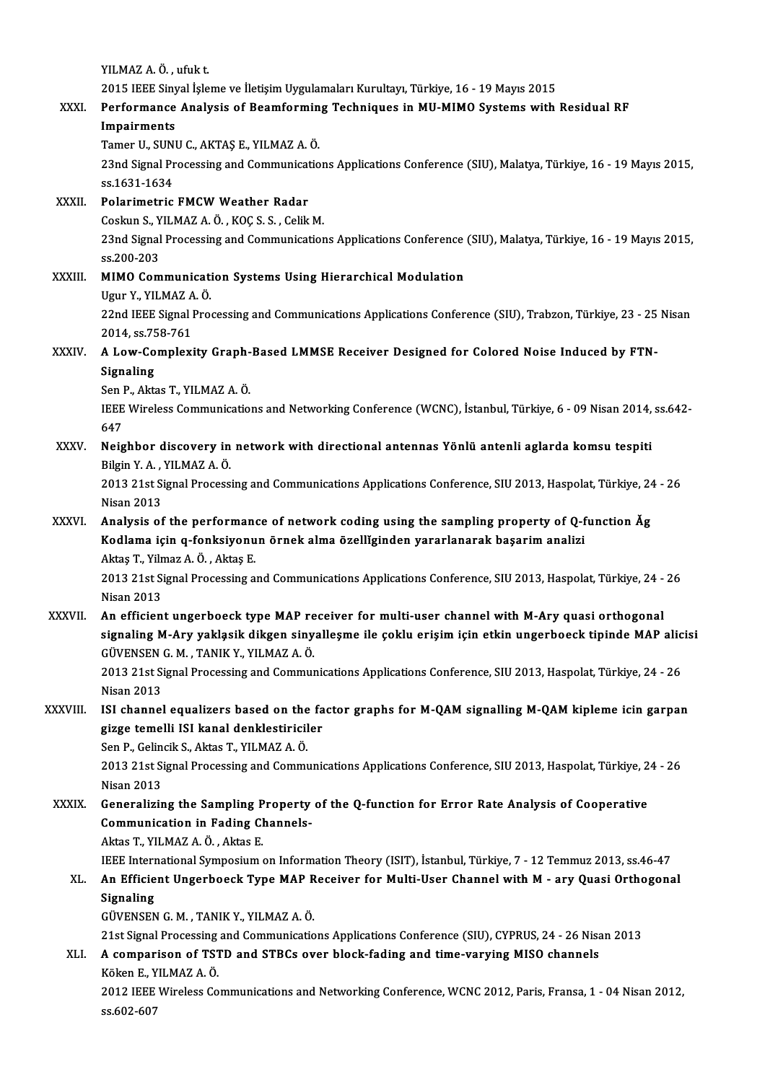YILMAZA.Ö. ,ufukt.

2015 IEEE Sinyal İşleme ve İletişim Uygulamaları Kurultayı, Türkiye, 16 - 19 Mayıs 2015<br>2015 IEEE Sinyal İşleme ve İletişim Uygulamaları Kurultayı, Türkiye, 16 - 19 Mayıs 2015<br>Performange Analysis of Beamforming Techniques

#### XXXI. Performance Analysis of Beamforming Techniques in MU-MIMO Systems with Residual RF<br>Impairments 2015 IEEE Siny<br>Performance<br>Impairments<br>Tamer U. SUNI Performance Analysis of Beamformin<br>Impairments<br>Tamer U., SUNU C., AKTAŞ E., YILMAZ A. Ö.<br><sup>22nd Signal Processing and Communicatio</sup>

I**mpairments**<br>Tamer U., SUNU C., AKTAŞ E., YILMAZ A. Ö.<br>23nd Signal Processing and Communications Applications Conference (SIU), Malatya, Türkiye, 16 - 19 Mayıs 2015,<br>95.1621.1624 Tamer U., SUN<br>23nd Signal Pr<br>ss.1631-1634<br>Polarimetric 23nd Signal Processing and Communicat<br>ss.1631-1634<br>XXXII. Polarimetric FMCW Weather Radar<br>Coshun S. VII MAZ A. Ö. KOC S. S. Colik

ss.1631-1634<br>Polarimetric FMCW Weather Radar<br>Coskun S., YILMAZ A. Ö. , KOC S. S. , Celik M. Polarimetric FMCW Weather Radar<br>Coskun S., YILMAZ A. Ö. , KOÇ S. S. , Celik M.<br>23nd Signal Processing and Communications Applications Conference (SIU), Malatya, Türkiye, 16 - 19 Mayıs 2015,<br>98 200 202 Coskun S., Y<br>23nd Signal<br>ss.200-203<br>MIMO Com 23nd Signal Processing and Communications Applications Conference<br>ss.200-203<br>XXXIII. MIMO Communication Systems Using Hierarchical Modulation

ss.200-203<br>XXXIII. MIMO Communication Systems Using Hierarchical Modulation<br>Ugur Y., YILMAZ A. Ö. MIMO Communication Systems Using Hierarchical Modulation<br>Ugur Y., YILMAZ A. Ö.<br>22nd IEEE Signal Processing and Communications Applications Conference (SIU), Trabzon, Türkiye, 23 - 25 Nisan<br>2014, SS 759, 761 Ugur Y., YILMAZ A<br>22nd IEEE Signal l<br>2014, ss.758-761<br>A Low Complevi

22nd IEEE Signal Processing and Communications Applications Conference (SIU), Trabzon, Türkiye, 23 - 25<br>2014, ss.758-761<br>XXXIV. A Low-Complexity Graph-Based LMMSE Receiver Designed for Colored Noise Induced by FTN-2014, ss.75<br>**A Low-Co<br>Signaling**<br>Son **P** Altr

A Low-Complexity Graph-<br>Signaling<br>Sen P., Aktas T., YILMAZ A. Ö.<br><sup>IEEE Winologg</sup> Communisatio

Signaling<br>Sen P., Aktas T., YILMAZ A. Ö.<br>IEEE Wireless Communications and Networking Conference (WCNC), İstanbul, Türkiye, 6 - 09 Nisan 2014, ss.642-<br>647 Sen I<br>IEEE<br>647<br>Neig IEEE Wireless Communications and Networking Conference (WCNC), İstanbul, Türkiye, 6 - 09 Nisan 2014,<br>647<br>XXXV. Neighbor discovery in network with directional antennas Yönlü antenli aglarda komsu tespiti

## 647<br>Neighbor discovery in network with directional antennas Yönlü antenli aglarda komsu tespiti<br>Bilgin Y. A. , YILMAZ A. Ö. Neighbor discovery in network with directional antennas Yönlü antenli aglarda komsu tespiti<br>Bilgin Y. A. , YILMAZ A. Ö.<br>2013 21st Signal Processing and Communications Applications Conference, SIU 2013, Haspolat, Türkiye, 2

Bilgin Y. A.,<br>2013 21st Si<br>Nisan 2013<br>Analysis of 2013 21st Signal Processing and Communications Applications Conference, SIU 2013, Haspolat, Türkiye, 24<br>Nisan 2013<br>XXXVI. Analysis of the performance of network coding using the sampling property of Q-function Åg<br>Kodlama i

# Nisan 2013<br>Analysis of the performance of network coding using the sampling property of Q-f<br>Kodlama için q-fonksiyonun örnek alma özellĭginden yararlanarak başarim analizi<br>Altes T. Vilmaz A.Ö., Altes E Analysis of the performane<br>Kodlama için q-fonksiyonu<br>Aktaş T., Yilmaz A.Ö., Aktaş E.<br>2012 21st Signal Brossesing a

Kodlama için q-fonksiyonun örnek alma özellĭginden yararlanarak başarim analizi<br>Aktaş T., Yilmaz A. Ö. , Aktaş E.<br>2013 21st Signal Processing and Communications Applications Conference, SIU 2013, Haspolat, Türkiye, 24 - 26 Aktaş T., Yiln<br>2013 21st Si<br>Nisan 2013<br>An officion 2013 21st Signal Processing and Communications Applications Conference, SIU 2013, Haspolat, Türkiye, 24 -<br>Nisan 2013<br>XXXVII. An efficient ungerboeck type MAP receiver for multi-user channel with M-Ary quasi orthogonal<br>Sign

Nisan 2013<br>An efficient ungerboeck type MAP receiver for multi-user channel with M-Ary quasi orthogonal<br>signaling M-Ary yakląsik dikgen sinyalleşme ile çoklu erişim için etkin ungerboeck tipinde MAP alicisi<br>GÜVENSEN G. M., An efficient ungerboeck type MAP re<br>signaling M-Ary yaklasik dikgen siny<br>GÜVENSEN G.M., TANIK Y., YILMAZ A.Ö.<br>2012 21st Signal Processing and Commun signaling M-Ary yakląsik dikgen sinyalleşme ile çoklu erişim için etkin ungerboeck tipinde MAP alic<br>GÜVENSEN G. M. , TANIK Y., YILMAZ A. Ö.<br>2013 21st Signal Processing and Communications Applications Conference, SIU 2013,

GÜVENSEN<br>2013 21st Si<br>Nisan 2013<br>ISL shannal 2013 21st Signal Processing and Communications Applications Conference, SIU 2013, Haspolat, Türkiye, 24 - 26<br>Nisan 2013<br>XXXVIII. ISI channel equalizers based on the factor graphs for M-QAM signalling M-QAM kipleme icin gar

# Nisan 2013<br>ISI channel equalizers based on the fa<br>gizge temelli ISI kanal denklestiriciler<br>Sen B. Gelingil: S. Altre T. YU MAZ A. Ö ISI channel equalizers based on the<br>gizge temelli ISI kanal denklestiricil<br>Sen P., Gelincik S., Aktas T., YILMAZ A. Ö.<br>2012 21st Signal Brossssing and Commu

gizge temelli ISI kanal denklestiriciler<br>Sen P., Gelincik S., Aktas T., YILMAZ A. Ö.<br>2013 21st Signal Processing and Communications Applications Conference, SIU 2013, Haspolat, Türkiye, 24 - 26<br>Nisan 2012 Sen P., Geline<br>2013 21st Si<br>Nisan 2013<br>Conoralizin 2013 21st Signal Processing and Communications Applications Conference, SIU 2013, Haspolat, Türkiye, 2<br>Nisan 2013<br>XXXIX. Generalizing the Sampling Property of the Q-function for Error Rate Analysis of Cooperative<br>Communica

## Nisan 2013<br>Generalizing the Sampling Property<br>Communication in Fading Channels-<br>Altes T. YU MAZ A.Ö., Altes F. Generalizing the Sampling P<br>Communication in Fading Cl<br>Aktas T., YILMAZ A.Ö., Aktas E. Communication in Fading Channels-<br>Aktas T., YILMAZ A. Ö. , Aktas E.<br>IEEE International Symposium on Information Theory (ISIT), İstanbul, Türkiye, 7 - 12 Temmuz 2013, ss.46-47<br>An Efficient Ungerboeck Tune MAR Bessiver for M

#### Aktas T., YILMAZ A. Ö. , Aktas E.<br>IEEE International Symposium on Information Theory (ISIT), İstanbul, Türkiye, 7 - 12 Temmuz 2013, ss.46-47<br>XL. An Efficient Ungerboeck Type MAP Receiver for Multi-User Channel with M -**IEEE Intern<br>An Efficie<br>Signaling<br>CÜVENSEN** An Efficient Ungerboeck Type MAP R<br>Signaling<br>GÜVENSEN G. M. , TANIK Y., YILMAZ A. Ö.<br>21st Signal Processing and Communicatio 3ignaling<br>GÜVENSEN G. M. , TANIK Y., YILMAZ A. Ö.<br>21st Signal Processing and Communications Applications Conference (SIU), CYPRUS, 24 - 26 Nisan 2013

## GÜVENSEN G. M. , TANIK Y., YILMAZ A. Ö.<br>21st Signal Processing and Communications Applications Conference (SIU), CYPRUS, 24 - 26 Nisa<br>XLI. A comparison of TSTD and STBCs over block-fading and time-varying MISO channels<br>Väl 21st Signal Processing<br>**A comparison of TS1**<br>Köken E., YILMAZ A. Ö.<br>2012 IEEE Winaloss Co A comparison of TSTD and STBCs over block-fading and time-varying MISO channels<br>Köken E., YILMAZ A. Ö.<br>2012 IEEE Wireless Communications and Networking Conference, WCNC 2012, Paris, Fransa, 1 - 04 Nisan 2012,<br>88.603.607

Köken E., Y<br>2012 IEEE<br>ss.602-607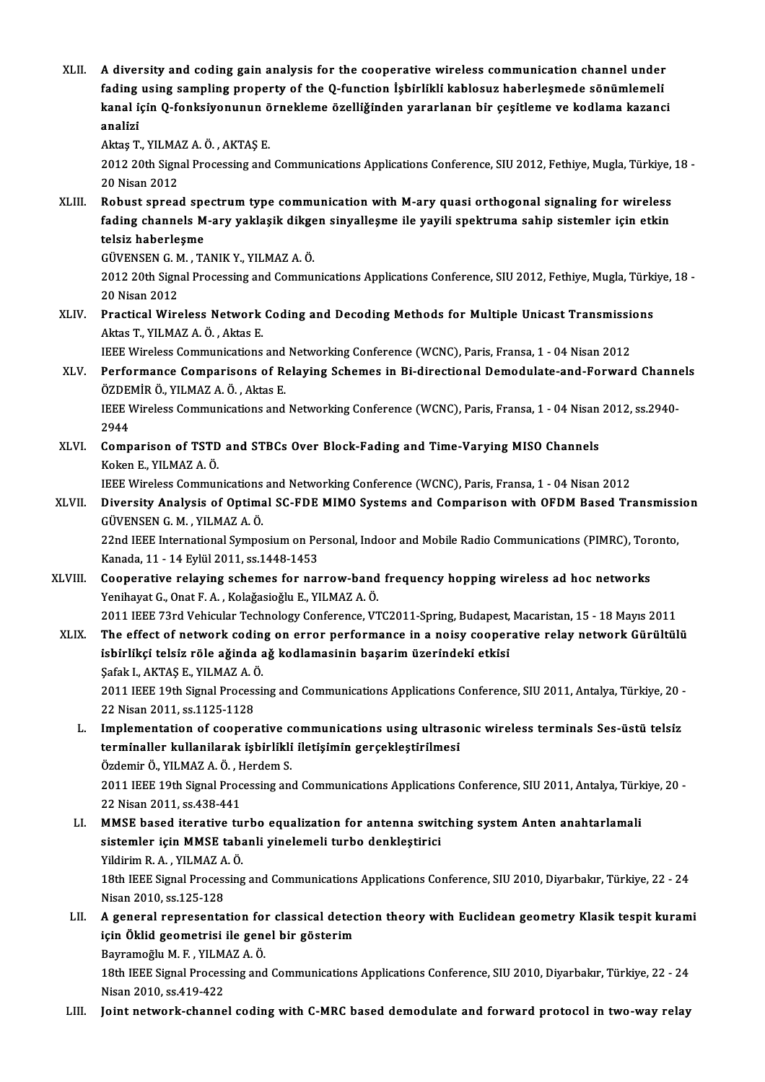XLII. A diversity and coding gain analysis for the cooperative wireless communication channel under<br>foding using compling property of the O function Ishipliki kohlogus beherlesmede sönümlemeli A diversity and coding gain analysis for the cooperative wireless communication channel under<br>fading using sampling property of the Q-function İşbirlikli kablosuz haberleşmede sönümlemeli<br>kanal isin Q fanksiyonunun önnekle A diversity and coding gain analysis for the cooperative wireless communication channel under<br>fading using sampling property of the Q-function İşbirlikli kablosuz haberleşmede sönümlemeli<br>kanal için Q-fonksiyonunun örnekle fading using sampling property of the Q-function İşbirlikli kablosuz haberleşmede sönümlemeli<br>kanal için Q-fonksiyonunun örnekleme özelliğinden yararlanan bir çeşitleme ve kodlama kazanci<br>analizi kanal için Q-fonksiyonunun ö<br>analizi<br>Aktaş T., YILMAZ A. Ö. , AKTAŞ E.<br>2012 20th Signal Prosessing and 2012 20th Signal Processing and Communications Applications Conference, SIU 2012, Fethiye, Mugla, Türkiye, 18 -<br>20 Nisan 2012 Aktaş T., YILMA<br>2012 20th Sign<br>20 Nisan 2012<br>Bobust sproac 2012 20th Signal Processing and Communications Applications Conference, SIU 2012, Fethiye, Mugla, Türkiye,<br>20 Nisan 2012<br>XLIII. Robust spread spectrum type communication with M-ary quasi orthogonal signaling for wireless<br>f 20 Nisan 2012<br>Robust spread spectrum type communication with M-ary quasi orthogonal signaling for wireless<br>fading channels M-ary yaklaşik dikgen sinyalleşme ile yayili spektruma sahip sistemler için etkin<br>telsir baborlesme Robust spread spe<br>fading channels M<br>telsiz haberleşme<br>CÜVENSEN C.M. T/ fading channels M-ary yaklaşik dikgen sinyalleşme ile yayili spektruma sahip sistemler için etkin<br>telsiz haberleşme 2012 20th Signal Processing and Communications Applications Conference, SIU 2012, Fethiye, Mugla, Türkiye, 18 -<br>20 Nisan 2012 GÜVENSEN G. M., TANIK Y., YILMAZ A. Ö. 2012 20th Signal Processing and Communications Applications Conference, SIU 2012, Fethiye, Mugla, Türki<br>20 Nisan 2012<br>XLIV. Practical Wireless Network Coding and Decoding Methods for Multiple Unicast Transmissions 20 Nisan 2012<br><mark>Practical Wireless Network</mark><br>Aktas T., YILMAZ A. Ö. , Aktas E.<br><sup>IEEE Wireless Communisations</sup> Practical Wireless Network Coding and Decoding Methods for Multiple Unicast Transmissic<br>Aktas T., YILMAZ A. Ö. , Aktas E.<br>IEEE Wireless Communications and Networking Conference (WCNC), Paris, Fransa, 1 - 04 Nisan 2012<br>Perf Aktas T., YILMAZ A. Ö. , Aktas E.<br>IEEE Wireless Communications and Networking Conference (WCNC), Paris, Fransa, 1 - 04 Nisan 2012<br>XLV. Performance Comparisons of Relaying Schemes in Bi-directional Demodulate-and-Forwar IEEE Wireless Communications and<br>Performance Comparisons of Re<br>ÖZDEMİR Ö., YILMAZ A. Ö. , Aktas E.<br>IEEE Winelses Communisations and Performance Comparisons of Relaying Schemes in Bi-directional Demodulate-and-Forward Channe<br>ÖZDEMİR Ö., YILMAZ A. Ö. , Aktas E.<br>IEEE Wireless Communications and Networking Conference (WCNC), Paris, Fransa, 1 - 04 Nisan 201 ÖZDEI<br>IEEE V<br>2944<br>Camp IEEE Wireless Communications and Networking Conference (WCNC), Paris, Fransa, 1 - 04 Nisan<br>2944<br>XLVI. Comparison of TSTD and STBCs Over Block-Fading and Time-Varying MISO Channels<br>Keken E, YUMAZA Ö 2944<br>XLVI. Comparison of TSTD and STBCs Over Block-Fading and Time-Varying MISO Channels<br>Koken E., YILMAZ A.Ö. Comparison of TSTD and STBCs Over Block-Fading and Time-Varying MISO Channels<br>Koken E., YILMAZ A. Ö.<br>IEEE Wireless Communications and Networking Conference (WCNC), Paris, Fransa, 1 - 04 Nisan 2012<br>Diversity Analysis of Ont Koken E., YILMAZ A. Ö.<br>IEEE Wireless Communications and Networking Conference (WCNC), Paris, Fransa, 1 - 04 Nisan 2012<br>XLVII. Diversity Analysis of Optimal SC-FDE MIMO Systems and Comparison with OFDM Based Transmissio **IEEE Wireless Communications<br>Diversity Analysis of Optima**<br>GÜVENSEN G. M. , YILMAZ A. Ö.<br>22nd IEEE International Sumpe Diversity Analysis of Optimal SC-FDE MIMO Systems and Comparison with OFDM Based Transmissi<br>GÜVENSEN G. M. , YILMAZ A. Ö.<br>22nd IEEE International Symposium on Personal, Indoor and Mobile Radio Communications (PIMRC), Toron GÜVENSEN G. M. , YILMAZ A. Ö.<br>22nd IEEE International Symposium on Personal, Indoor and Mobile Radio Communications (PIMRC), Toronto,<br>Kanada, 11 - 14 Eylül 2011, ss.1448-1453 22nd IEEE International Symposium on Personal, Indoor and Mobile Radio Communications (PIMRC), Tor<br>Kanada, 11 - 14 Eylül 2011, ss.1448-1453<br>XLVIII. Cooperative relaying schemes for narrow-band frequency hopping wireless ad Kanada, 11 - 14 Eylül 2011, ss.1448-1453<br>Cooperative relaying schemes for narrow-band<br>Yenihayat G., Onat F. A. , Kolağasioğlu E., YILMAZ A. Ö.<br>2011 IEEE 72rd Vehicular Technology Conference VI Cooperative relaying schemes for narrow-band frequency hopping wireless ad hoc networks<br>Yenihayat G., Onat F. A. , Kolağasioğlu E., YILMAZ A. Ö.<br>2011 IEEE 73rd Vehicular Technology Conference, VTC2011-Spring, Budapest, Mac Yenihayat G., Onat F. A. , Kolağasioğlu E., YILMAZ A. Ö.<br>2011 IEEE 73rd Vehicular Technology Conference, VTC2011-Spring, Budapest, Macaristan, 15 - 18 Mayıs 2011<br>XLIX. The effect of network coding on error performance 2011 IEEE 73rd Vehicular Technology Conference, VTC2011-Spring, Budapest,<br>The effect of network coding on error performance in a noisy cooper<br>isbirlikçi telsiz röle ağinda ağ kodlamasinin başarim üzerindeki etkisi<br>Sefek LA The effect of network codin<br>isbirlikçi telsiz röle ağında a<br>Şafak I., AKTAŞ E., YILMAZ A. Ö.<br>2011 IEEE 10th Signal Prosecci 2011 IEEE 19th Signal Processing and Communications Applications Conference, SIU 2011, Antalya, Türkiye, 20 -<br>22 Nisan 2011, ss.1125-1128 Şafak I., AKTAŞ E., YILMAZ A. Ö. 2011 IEEE 19th Signal Processing and Communications Applications Conference, SIU 2011, Antalya, Türkiye, 20 -<br>22 Nisan 2011, ss.1125-1128<br>L. Implementation of cooperative communications using ultrasonic wireless terminals 22 Nisan 2011, ss.1125-1128<br>Implementation of cooperative communications using ultraso<br>terminaller kullanilarak işbirlikli iletişimin gerçekleştirilmesi<br>Özdemir Ö. YU M47 A. Ö. Herdem S. Implementation of cooperative c<br>terminaller kullanilarak işbirlikli<br>Özdemir Ö., YILMAZ A. Ö. , Herdem S.<br>2011 IEEE 19th Signal Processing and terminaller kullanilarak işbirlikli iletişimin gerçekleştirilmesi<br>Özdemir Ö., YILMAZ A. Ö. , Herdem S.<br>2011 IEEE 19th Signal Processing and Communications Applications Conference, SIU 2011, Antalya, Türkiye, 20 -<br>22 Nisan Özdemir Ö., YILMAZ A. Ö. , F.<br>2011 IEEE 19th Signal Proc<br>22 Nisan 2011, ss.438-441<br>MMSE based iterative tu LI. MMSE based iterative turbo equalization for antenna switching systemAnten anahtarlamali 22 Nisan 2011, ss.438-441<br>MMSE based iterative turbo equalization for antenna swit<br>sistemler için MMSE tabanli yinelemeli turbo denkleştirici<br>Vildirim B.A., VII MAZ A.Ö. MMSE based iterative tu<br>sistemler için MMSE taba<br>Yildirim R.A., YILMAZA.Ö.<br>19th IEEE Signal Processing 18th IEEE Signal Processing and Communications Applications Conference, SIU 2010, Diyarbakır, Türkiye, 22 - 24<br>Nisan 2010, ss.125-128 Yildirim R.A., YILMAZ A.Ö. 18th IEEE Signal Processing and Communications Applications Conference, SIU 2010, Diyarbakır, Türkiye, 22 - 24<br>Nisan 2010, ss.125-128<br>LII. A general representation for classical detection theory with Euclidean geometry Kla Nisan 2010, ss.125-128<br>A general representation for classical detec<br>için Öklid geometrisi ile genel bir gösterim<br>Bayramağlu M.E. YU MAZ A Ö A general representation for<br>için Öklid geometrisi ile gene<br>Bayramoğlu M.F., YILMAZ A.Ö.<br>19th IEEE Signal Brassssing and 19th Uklid geometrisi ile genel bir gösterim<br>Bayramoğlu M. F. , YILMAZ A. Ö.<br>18th IEEE Signal Processing and Communications Applications Conference, SIU 2010, Diyarbakır, Türkiye, 22 - 24<br>Nisan 2010, ss.419-422 Bayramoğlu M. F. , YILM.<br>18th IEEE Signal Process.<br>Nisan 2010, ss.419-422<br>Joint natwork shanna LIII. Joint network-channel coding with C-MRC based demodulate and forward protocol in two-way relay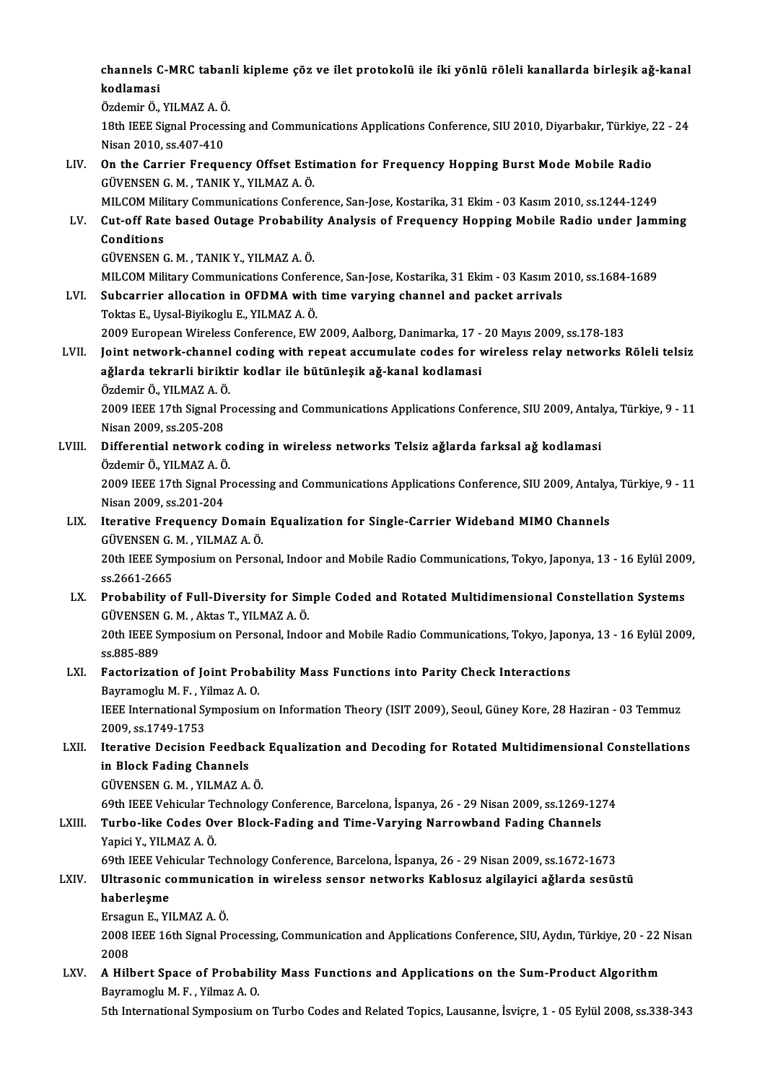#### channels C-MRC tabanli kipleme çöz ve ilet protokolü ile iki yönlü röleli kanallarda birleşik ağ-kanal<br>kodlaması channels C<br>kodlamasi<br>Ördemir Ö channels C-MRC taban<br>kodlamasi<br>Özdemir Ö., YILMAZ A. Ö.<br>19th IEEE Signal Processi kodlamasi<br>Özdemir Ö., YILMAZ A. Ö.<br>18th IEEE Signal Processing and Communications Applications Conference, SIU 2010, Diyarbakır, Türkiye, 22 - 24<br>Nisan 2010, ss.407-410 Özdemir Ö., YILMAZ A. Ö<br>18th IEEE Signal Process<br>Nisan 2010, ss.407-410<br>On the Carrier Freque 18th IEEE Signal Processing and Communications Applications Conference, SIU 2010, Diyarbakır, Türkiye, 2<br>Nisan 2010, ss.407-410<br>LIV. On the Carrier Frequency Offset Estimation for Frequency Hopping Burst Mode Mobile Radio<br> Nisan 2010, ss.407-410<br>On the Carrier Frequency Offset Esti<br>GÜVENSEN G. M. , TANIK Y., YILMAZ A. Ö.<br>MU COM Military Communisations Confor On the Carrier Frequency Offset Estimation for Frequency Hopping Burst Mode Mobile Radio<br>GÜVENSEN G. M. , TANIK Y., YILMAZ A. Ö.<br>MILCOM Military Communications Conference, San-Jose, Kostarika, 31 Ekim - 03 Kasım 2010, ss.1 GÜVENSEN G. M. , TANIK Y., YILMAZ A. Ö.<br>MILCOM Military Communications Conference, San-Jose, Kostarika, 31 Ekim - 03 Kasım 2010, ss.1244-1249<br>LV. Cut-off Rate based Outage Probability Analysis of Frequency Hopping Mobi MILCOM Mili<br>Cut-off Rate<br>Conditions<br>CÜVENSEN C Cut-off Rate based Outage Probabilit<br>Conditions<br>GÜVENSEN G. M. , TANIK Y., YILMAZ A. Ö.<br>MILCOM Military Communisations Confor Conditions<br>GÜVENSEN G. M. , TANIK Y., YILMAZ A. Ö.<br>MILCOM Military Communications Conference, San-Jose, Kostarika, 31 Ekim - 03 Kasım 2010, ss.1684-1689 LVI. Subcarrier allocation in OFDMA with time varying channel and packet arrivals ToktasE.,Uysal-BiyikogluE.,YILMAZA.Ö. Subcarrier allocation in OFDMA with time varying channel and packet arrivals<br>Toktas E., Uysal-Biyikoglu E., YILMAZ A. Ö.<br>2009 European Wireless Conference, EW 2009, Aalborg, Danimarka, 17 - 20 Mayıs 2009, ss.178-183<br>Joint LVII. Joint network-channel coding with repeat accumulate codes for wireless relay networks Röleli telsiz 2009 European Wireless Conference, EW 2009, Aalborg, Danimarka, 17 -<br>Joint network-channel coding with repeat accumulate codes for v<br>aǧlarda tekrarli biriktir kodlar ile bütünleşik aǧ-kanal kodlamasi<br>Ördemir Ö. YU MAZ A Ö. ağlarda tekrarli biriktir kodlar ile bütünleşik ağ-kanal kodlamasi<br>Özdemir Ö., YILMAZ A. Ö. ağlarda tekrarli biriktir kodlar ile bütünleşik ağ-kanal kodlamasi<br>Özdemir Ö., YILMAZ A. Ö.<br>2009 IEEE 17th Signal Processing and Communications Applications Conference, SIU 2009, Antalya, Türkiye, 9 - 11 Özdemir Ö., YILMAZ A. Ö<br>2009 IEEE 17th Signal P<br>Nisan 2009, ss.205-208<br>Differential natuork 2009 IEEE 17th Signal Processing and Communications Applications Conference, SIU 2009, Antal<br>Nisan 2009, ss.205-208<br>LVIII. Differential network coding in wireless networks Telsiz ağlarda farksal ağ kodlamasi<br>Ördemir Ö. VII Nisan 2009, ss.205-208<br>Differential network coding in wireless networks Telsiz ağlarda farksal ağ kodlamasi<br>Özdemir Ö., YILMAZ A. Ö. Differential network coding in wireless networks Telsiz ağlarda farksal ağ kodlamasi<br>Özdemir Ö., YILMAZ A. Ö.<br>2009 IEEE 17th Signal Processing and Communications Applications Conference, SIU 2009, Antalya, Türkiye, 9 - 11<br> Özdemir Ö., YILMAZ A. Ö<br>2009 IEEE 17th Signal P<br>Nisan 2009, ss.201-204<br>Itaratiya Eraguangy F 2009 IEEE 17th Signal Processing and Communications Applications Conference, SIU 2009, Antalya<br>Nisan 2009, ss.201-204<br>LIX. Iterative Frequency Domain Equalization for Single-Carrier Wideband MIMO Channels<br>CUVENSEN C.M. VIL Nisan 2009, ss.201-204<br>LIX. Iterative Frequency Domain Equalization for Single-Carrier Wideband MIMO Channels 20th IEEE Symposium on Personal, Indoor and Mobile Radio Communications, Tokyo, Japonya, 13 - 16 Eylül 2009, ss.2661-2665 GÜVENSEN G. M., YILMAZ A. Ö. 20th IEEE Symposium on Personal, Indoor and Mobile Radio Communications, Tokyo, Japonya, 13 - 16 Eylül 2009<br>58.2661-2665<br>LX. Probability of Full-Diversity for Simple Coded and Rotated Multidimensional Constellation Systems ss.2661-2665<br><mark>Probability of Full-Diversity for Sim</mark><br>GÜVENSEN G. M. , Aktas T., YILMAZ A. Ö.<br>20th JEEE Sumnosium on Bersonal Indo Probability of Full-Diversity for Simple Coded and Rotated Multidimensional Constellation Systems<br>GÜVENSEN G. M. , Aktas T., YILMAZ A. Ö.<br>20th IEEE Symposium on Personal, Indoor and Mobile Radio Communications, Tokyo, Japo GÜVENSEN G. M. , Aktas T., YILMAZ A. Ö.<br>20th IEEE Symposium on Personal, Indoor and Mobile Radio Communications, Tokyo, Japonya, 13 - 16 Eylül 2009,<br>ss.885-889 20th IEEE Symposium on Personal, Indoor and Mobile Radio Communications, Tokyo, Japo<br>ss.885-889<br>LXI. Factorization of Joint Probability Mass Functions into Parity Check Interactions<br>Payramegly M. F. Vilmag A. O. ss.885-889<br>Factorization of Joint Prob.<br>Bayramoglu M. F. , Yilmaz A. O.<br><sup>IEEE</sup> International Sumnogium Factorization of Joint Probability Mass Functions into Parity Check Interactions<br>Bayramoglu M. F. , Yilmaz A. O.<br>IEEE International Symposium on Information Theory (ISIT 2009), Seoul, Güney Kore, 28 Haziran - 03 Temmuz<br>200 Bayramoglu M. F. , Yi<br>IEEE International Sy<br>2009, ss.1749-1753<br>Itanative Dosisian IEEE International Symposium on Information Theory (ISIT 2009), Seoul, Güney Kore, 28 Haziran - 03 Temmuz<br>2009, ss.1749-1753<br>LXII. Iterative Decision Feedback Equalization and Decoding for Rotated Multidimensional Constell 2009, ss.1749-1753<br>Iterative Decision Feedback<br>in Block Fading Channels<br>GÜVENSEN G. M. , YILMAZ A. Ö. Iterative Decision Feedback<br>in Block Fading Channels<br>GÜVENSEN G. M. , YILMAZ A. Ö.<br>60th IEEE Vebisular Technology 69th IEEEVehicularTechnologyConference,Barcelona, İspanya,26 -29Nisan2009, ss.1269-1274 GÜVENSEN G. M. , YILMAZ A. Ö.<br>69th IEEE Vehicular Technology Conference, Barcelona, İspanya, 26 - 29 Nisan 2009, ss.1269-12<br>LXIII. Turbo-like Codes Over Block-Fading and Time-Varying Narrowband Fading Channels<br>Vanisi V 69th IEEE Vehicular Te<br>**Turbo-like Codes Ov**<br>Yapici Y., YILMAZ A. Ö.<br>60th IEEE Vehicular Te Turbo-like Codes Over Block-Fading and Time-Varying Narrowband Fading Channels<br>Yapici Y., YILMAZ A. Ö.<br>69th IEEE Vehicular Technology Conference, Barcelona, İspanya, 26 - 29 Nisan 2009, ss.1672-1673<br>Illtresenia communicati Yapici Y., YILMAZ A. Ö.<br>69th IEEE Vehicular Technology Conference, Barcelona, İspanya, 26 - 29 Nisan 2009, ss.1672-1673<br>LXIV. Ultrasonic communication in wireless sensor networks Kablosuz algilayici ağlarda sesüstü<br>hab 69th IEEE Vel<br>Ultrasonic contrasonic<br>haberleşme Ultrasonic communica<br>haberleşme<br>Ersagun E., YILMAZ A. Ö.<br>2009 IEEE 16th Signal Pr haberleşme<br>Ersagun E., YILMAZ A. Ö.<br>2008 IEEE 16th Signal Processing, Communication and Applications Conference, SIU, Aydın, Türkiye, 20 - 22 Nisan Ersagu<br>2008<br>2008 2008 IEEE 16th Signal Processing, Communication and Applications Conference, SIU, Aydın, Türkiye, 20 - 22<br>2008<br>LXV. A Hilbert Space of Probability Mass Functions and Applications on the Sum-Product Algorithm 2008<br>A Hilbert Space of Probability Mass Functions and Applications on the Sum-Product Algorithm<br>Bayramoglu M. F. , Yilmaz A. O.

5th International Symposium on Turbo Codes and Related Topics, Lausanne, İsviçre, 1 - 05 Eylül 2008, ss.338-343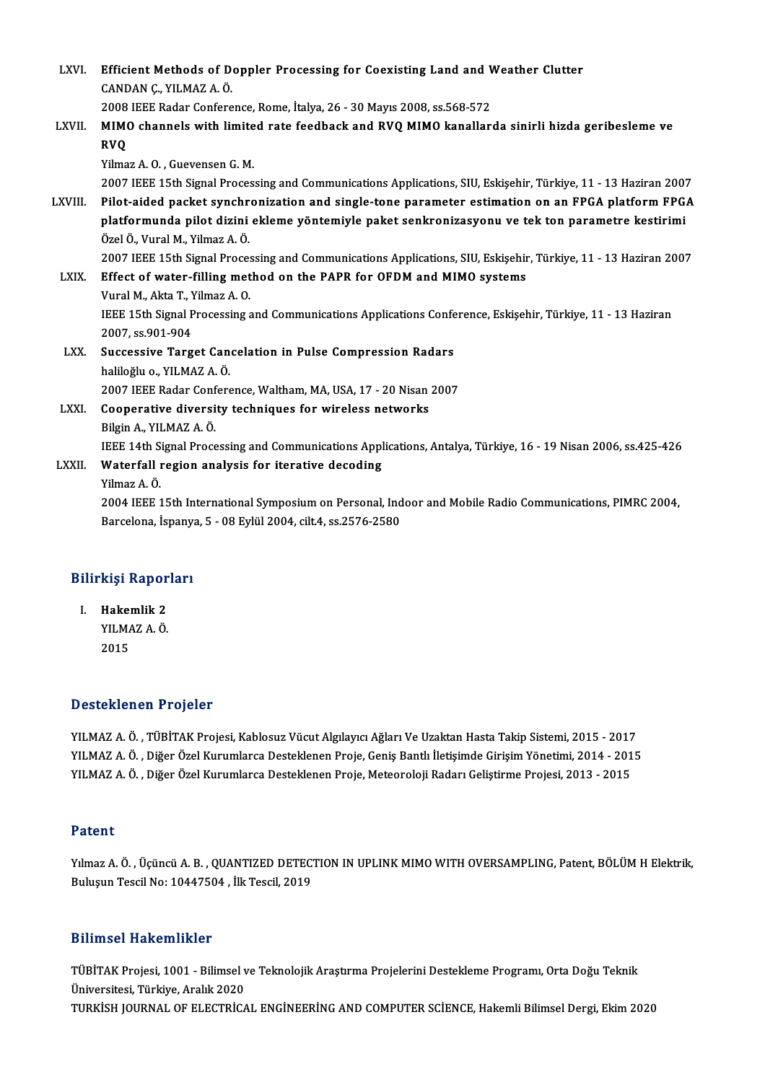| LXVI.       | Efficient Methods of Doppler Processing for Coexisting Land and Weather Clutter                                 |
|-------------|-----------------------------------------------------------------------------------------------------------------|
|             | CANDAN Ç, YILMAZ A. Ö.                                                                                          |
|             | 2008 IEEE Radar Conference, Rome, İtalya, 26 - 30 Mayıs 2008, ss.568-572                                        |
| LXVII.      | MIMO channels with limited rate feedback and RVQ MIMO kanallarda sinirli hizda geribesleme ve<br><b>RVQ</b>     |
|             | Yilmaz A.O., Guevensen G.M.                                                                                     |
|             | 2007 IEEE 15th Signal Processing and Communications Applications, SIU, Eskişehir, Türkiye, 11 - 13 Haziran 2007 |
| LXVIII.     | Pilot-aided packet synchronization and single-tone parameter estimation on an FPGA platform FPGA                |
|             | platformunda pilot dizini ekleme yöntemiyle paket senkronizasyonu ve tek ton parametre kestirimi                |
|             | Özel Ö., Vural M., Yilmaz A. Ö.                                                                                 |
|             | 2007 IEEE 15th Signal Processing and Communications Applications, SIU, Eskişehir, Türkiye, 11 - 13 Haziran 2007 |
| <b>LXIX</b> | Effect of water-filling method on the PAPR for OFDM and MIMO systems                                            |
|             | Vural M., Akta T., Yilmaz A. O.                                                                                 |
|             | IEEE 15th Signal Processing and Communications Applications Conference, Eskişehir, Türkiye, 11 - 13 Haziran     |
|             | 2007, ss 901-904                                                                                                |
| LXX.        | Successive Target Cancelation in Pulse Compression Radars                                                       |
|             | haliloğlu o., YILMAZ A. Ö.                                                                                      |
|             | 2007 IEEE Radar Conference, Waltham, MA, USA, 17 - 20 Nisan 2007                                                |
| LXXI.       | Cooperative diversity techniques for wireless networks                                                          |
|             | Bilgin A., YILMAZ A. Ö.                                                                                         |
|             | IEEE 14th Signal Processing and Communications Applications, Antalya, Türkiye, 16 - 19 Nisan 2006, ss.425-426   |
| LXXII.      | Waterfall region analysis for iterative decoding                                                                |
|             | Yilmaz A Ö                                                                                                      |
|             | 2004 IEEE 15th International Symposium on Personal, Indoor and Mobile Radio Communications, PIMRC 2004,         |
|             | Barcelona, İspanya, 5 - 08 Eylül 2004, cilt.4, ss.2576-2580                                                     |
|             |                                                                                                                 |

# <sub>Barcelona, Ispany.</sub><br>Bilirkişi Raporları

I. Hakemlik 2 I. Hakemlik 2<br>YILMAZ A.Ö. 2015

#### Desteklenen Projeler

Desteklenen Projeler<br>YILMAZ A. Ö. , TÜBİTAK Projesi, Kablosuz Vücut Algılayıcı Ağları Ve Uzaktan Hasta Takip Sistemi, 2015 - 2017<br>YU MAZ A. Ö. , Diğer Örel Kurumlarsa Desteklenen Proje, Cenis Panth İletisimde Cirisim Vönet YILMAZ A. Ö. , Diğer Özel Kurumlarca Desteklenen Proje, Geniş Bantlı İletişimde Girişim Yönetimi, 2014 - 2015<br>YILMAZ A. Ö. , Diğer Özel Kurumlarca Desteklenen Proje, Meteoroloji Radarı Geliştirme Projesi, 2013 - 2015 YILMAZ A. Ö. , TÜBİTAK Projesi, Kablosuz Vücut Algılayıcı Ağları Ve Uzaktan Hasta Takip Sistemi, 2015 - 2017<br>YILMAZ A. Ö. , Diğer Özel Kurumlarca Desteklenen Proje, Geniş Bantlı İletişimde Girişim Yönetimi, 2014 - 201<br>YILM

#### Patent

Patent<br>Yılmaz A. Ö. , Üçüncü A. B. , QUANTIZED DETECTION IN UPLINK MIMO WITH OVERSAMPLING, Patent, BÖLÜM H Elektrik,<br>Bulusun Tassil No: 19447594, İlk Tassil 2019 r aterre<br>Yılmaz A. Ö. , Üçüncü A. B. , QUANTIZED DETEC'<br>Buluşun Tescil No: 10447504 , İlk Tescil, 2019 Buluşun Tescil No: 10447504 , İlk Tescil, 2019<br>Bilimsel Hakemlikler

Bilimsel Hakemlikler<br>TÜBİTAK Projesi, 1001 - Bilimsel ve Teknolojik Araştırma Projelerini Destekleme Programı, Orta Doğu Teknik<br>Ühiversitesi Türkiye Aralık 2020 MANDER TRANSMITHIST<br>TÜBİTAK Projesi, 1001 - Bilimsel v<br>Üniversitesi, Türkiye, Aralık 2020<br>TURKİSH JOURNAL OF ELECTRİCA Üniversitesi, Türkiye, Aralık 2020<br>TURKİSH JOURNAL OF ELECTRİCAL ENGİNEERİNG AND COMPUTER SCİENCE, Hakemli Bilimsel Dergi, Ekim 2020